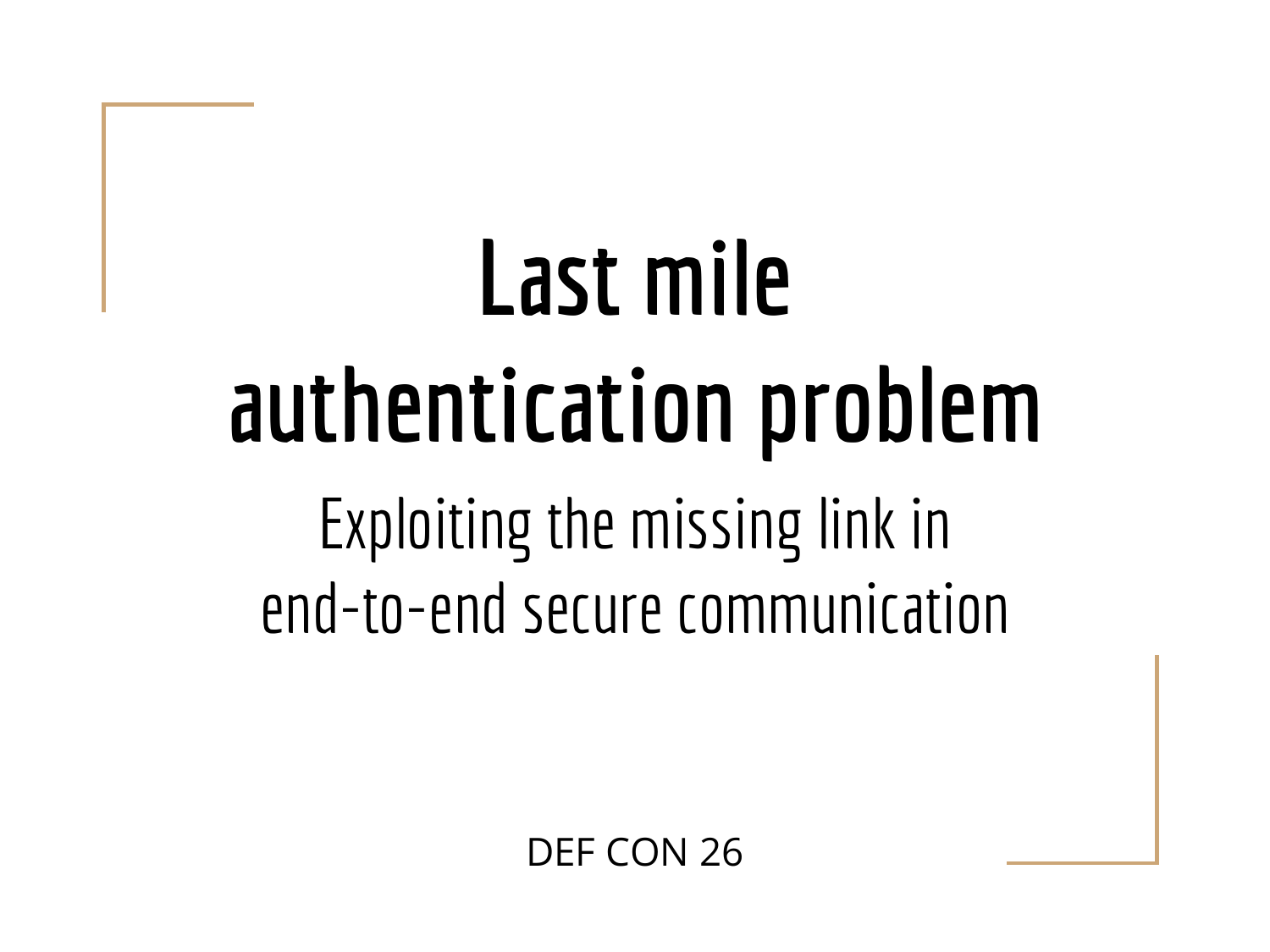## Last mile authentication problem Exploiting the missing link in end-to-end secure communication

DEF CON 26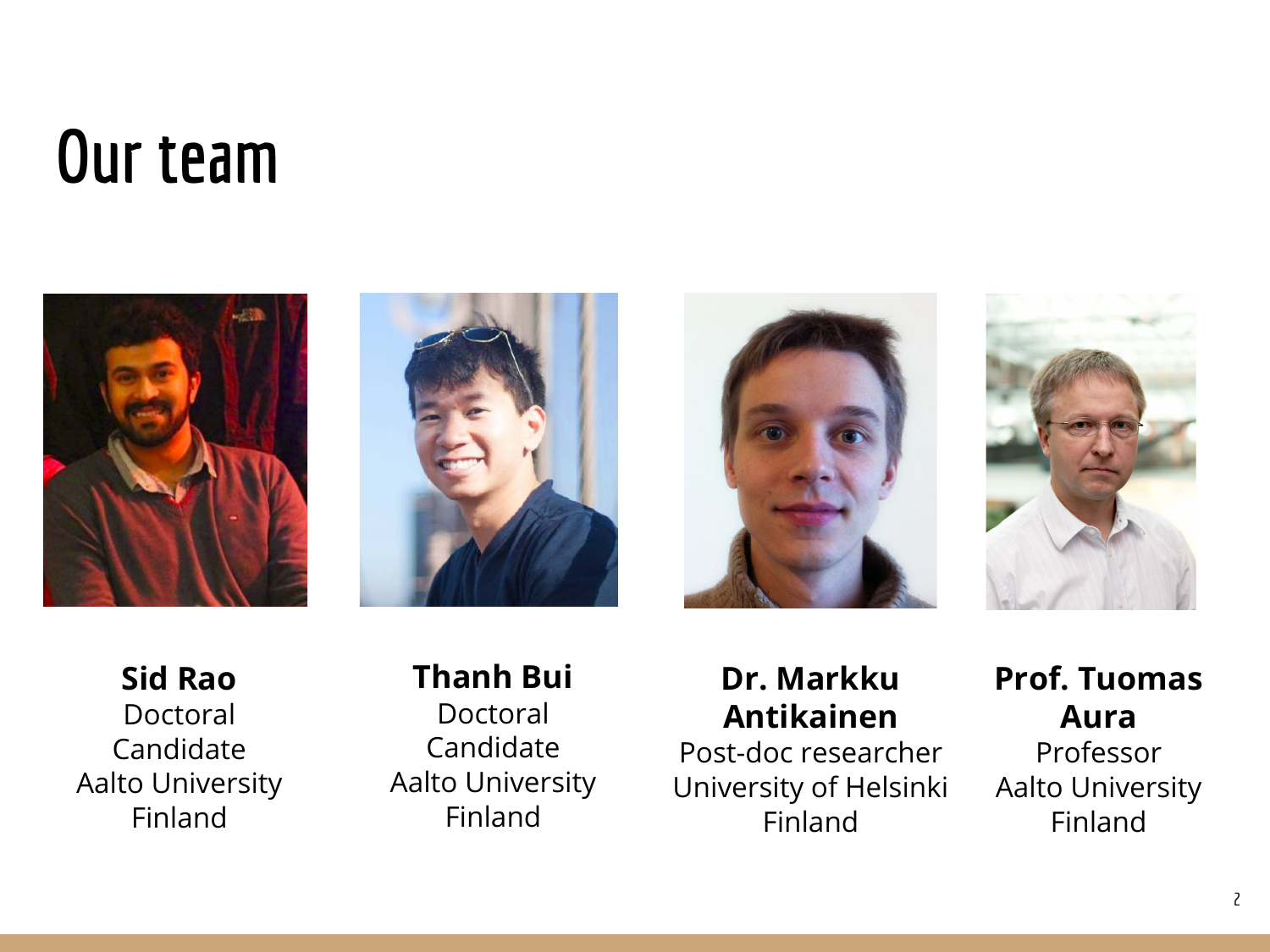#### Our team









Sid Rao Doctoral Candidate Aalto University Finland

#### Thanh Bui Doctoral Candidate Aalto University Finland

#### Dr. Markku Antikainen

Post-doc researcher University of Helsinki Finland

#### Prof. Tuomas Aura Professor

Aalto University Finland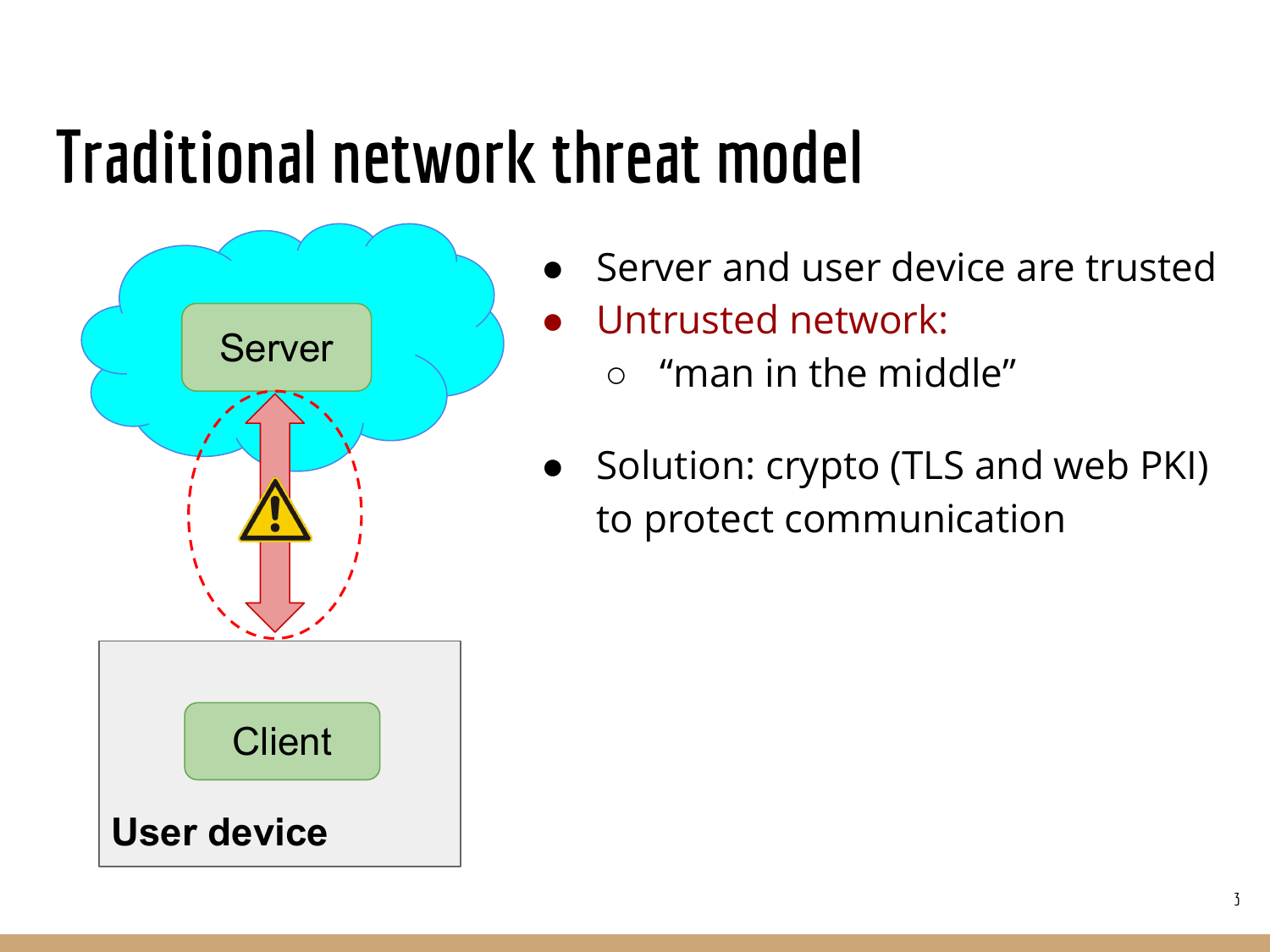#### Traditional network threat model



- Server and user device are trusted
- Untrusted network:
	- $\circ$  "man in the middle"
- Solution: crypto (TLS and web PKI) to protect communication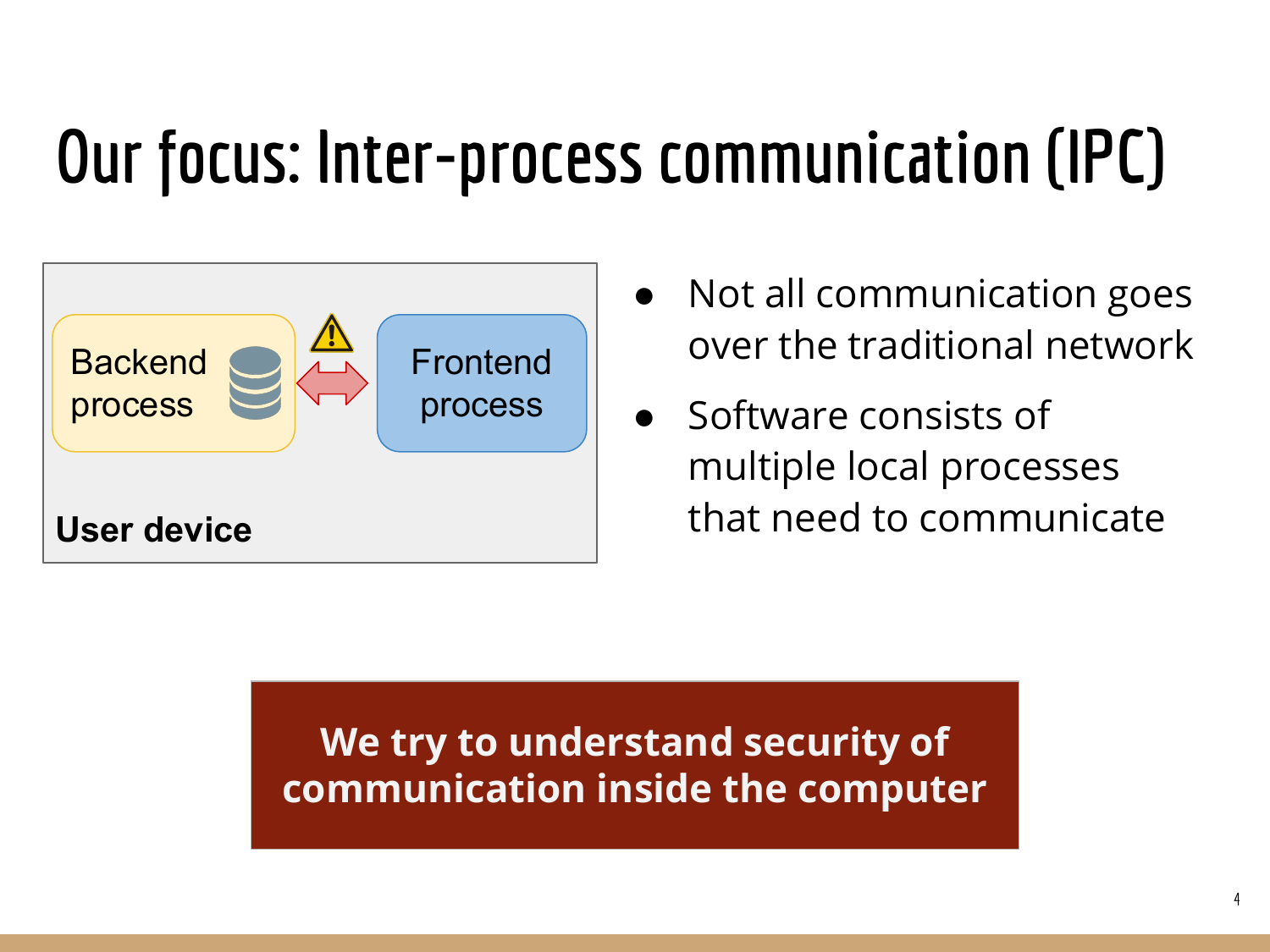## Our focus: Inter-process communication (IPC)



- Not all communication goes over the traditional network
- Software consists of multiple local processes that need to communicate

#### We try to understand security of communication inside the computer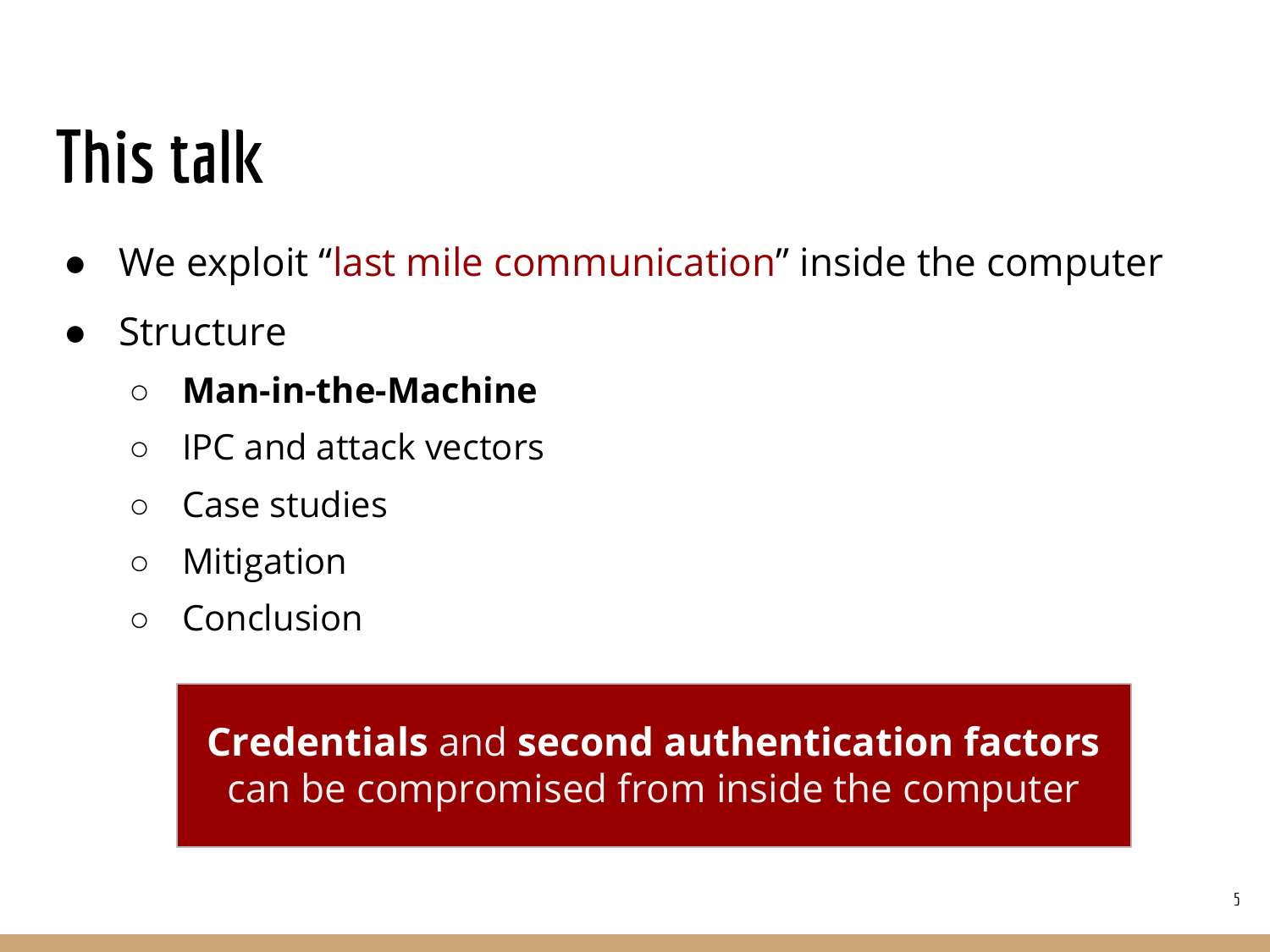#### This talk

- We exploit "last mile communication" inside the computer
- Structure
	- Man-in-the-Machine
	- IPC and attack vectors
	- Case studies
	- Mitigation
	- Conclusion

Credentials and second authentication factors can be compromised from inside the computer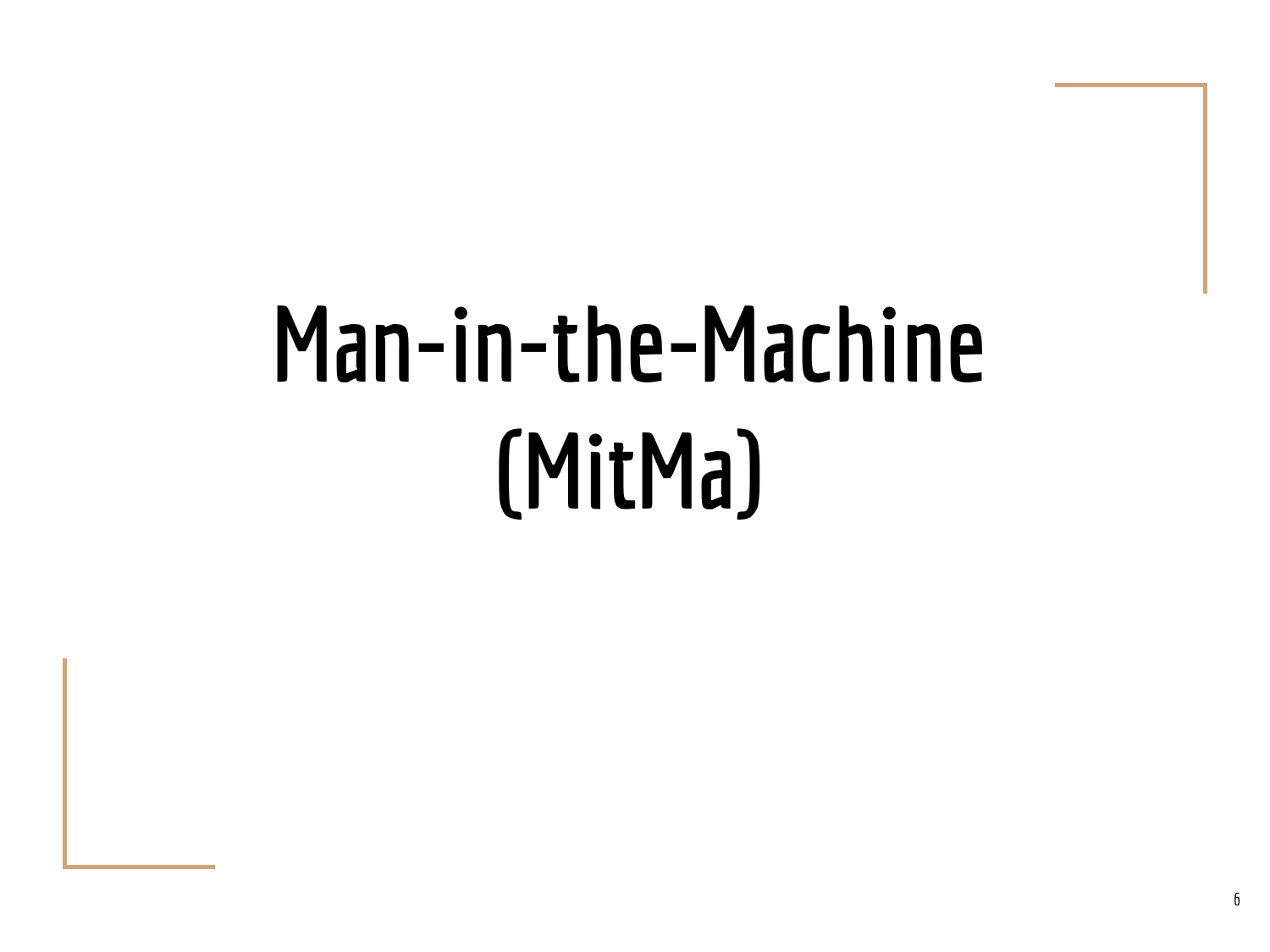# Man-in-the-Machine (MitMa)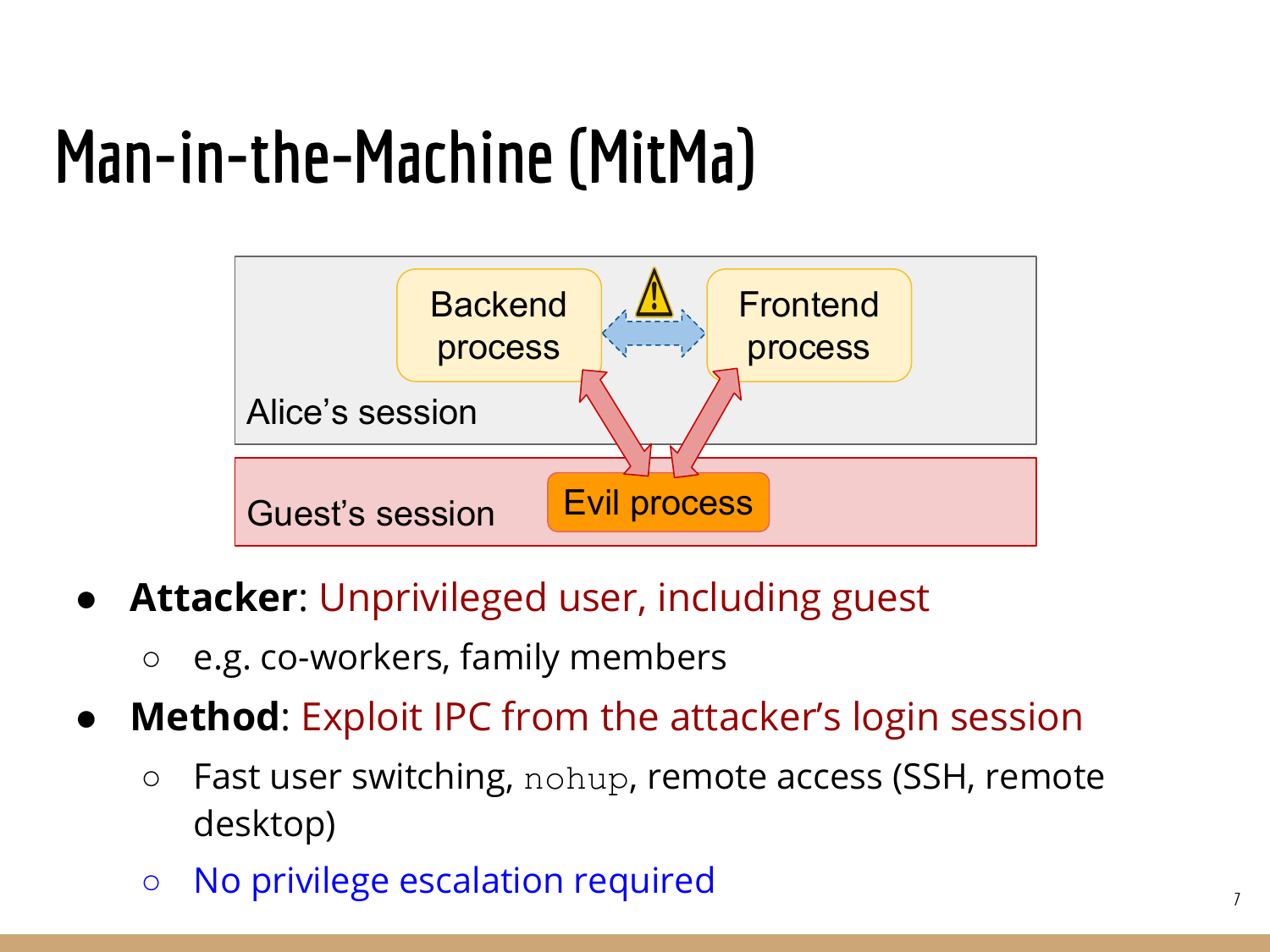#### Man-in-the-Machine (MitMa)



- Attacker: Unprivileged user, including guest
	- e.g. co-workers, family members
- **Method:** Exploit IPC from the attacker's login session
	- Fast user switching, nohup, remote access (SSH, remote desktop)
	- No privilege escalation required <sup>7</sup>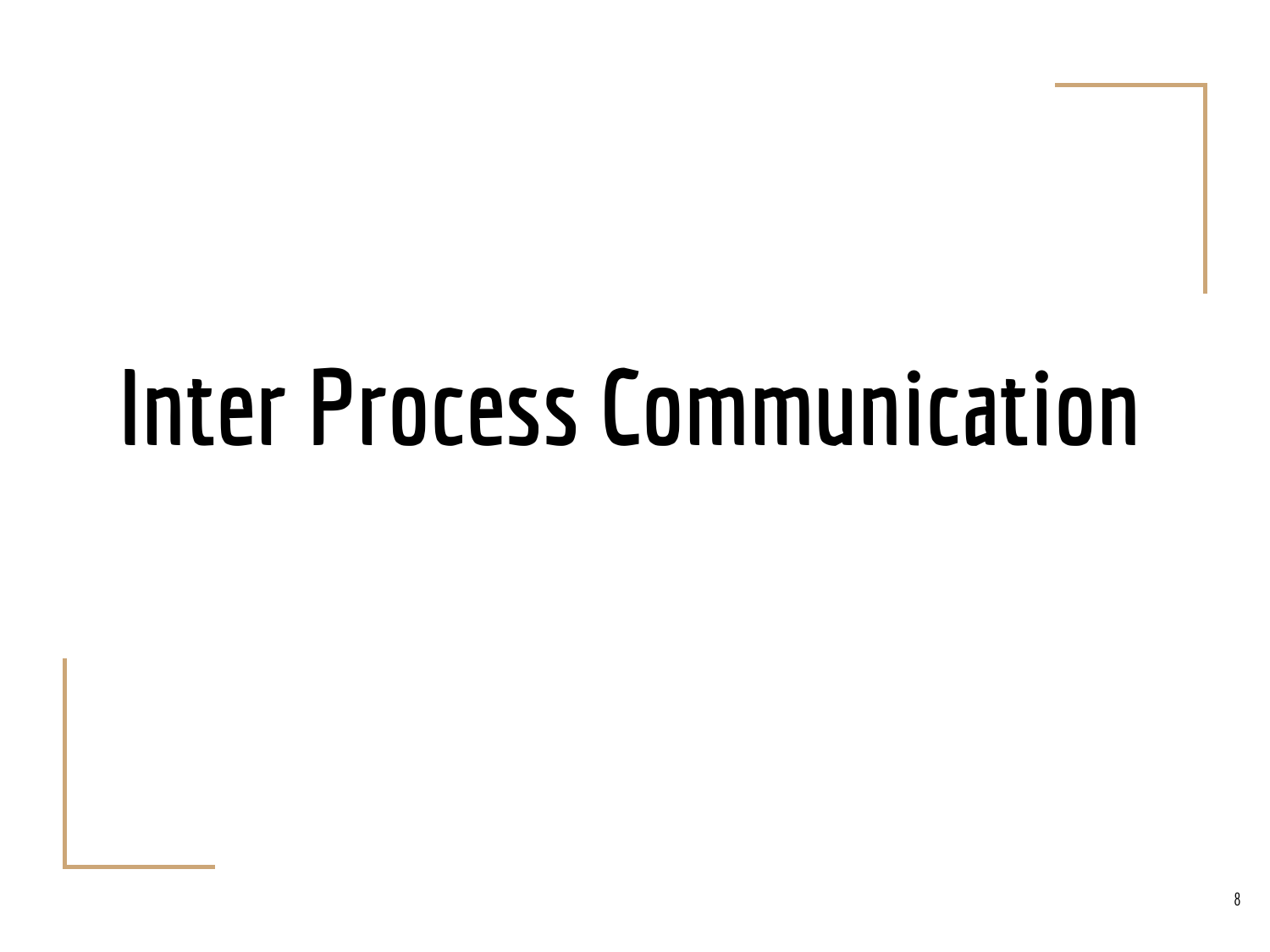## Inter Process Communication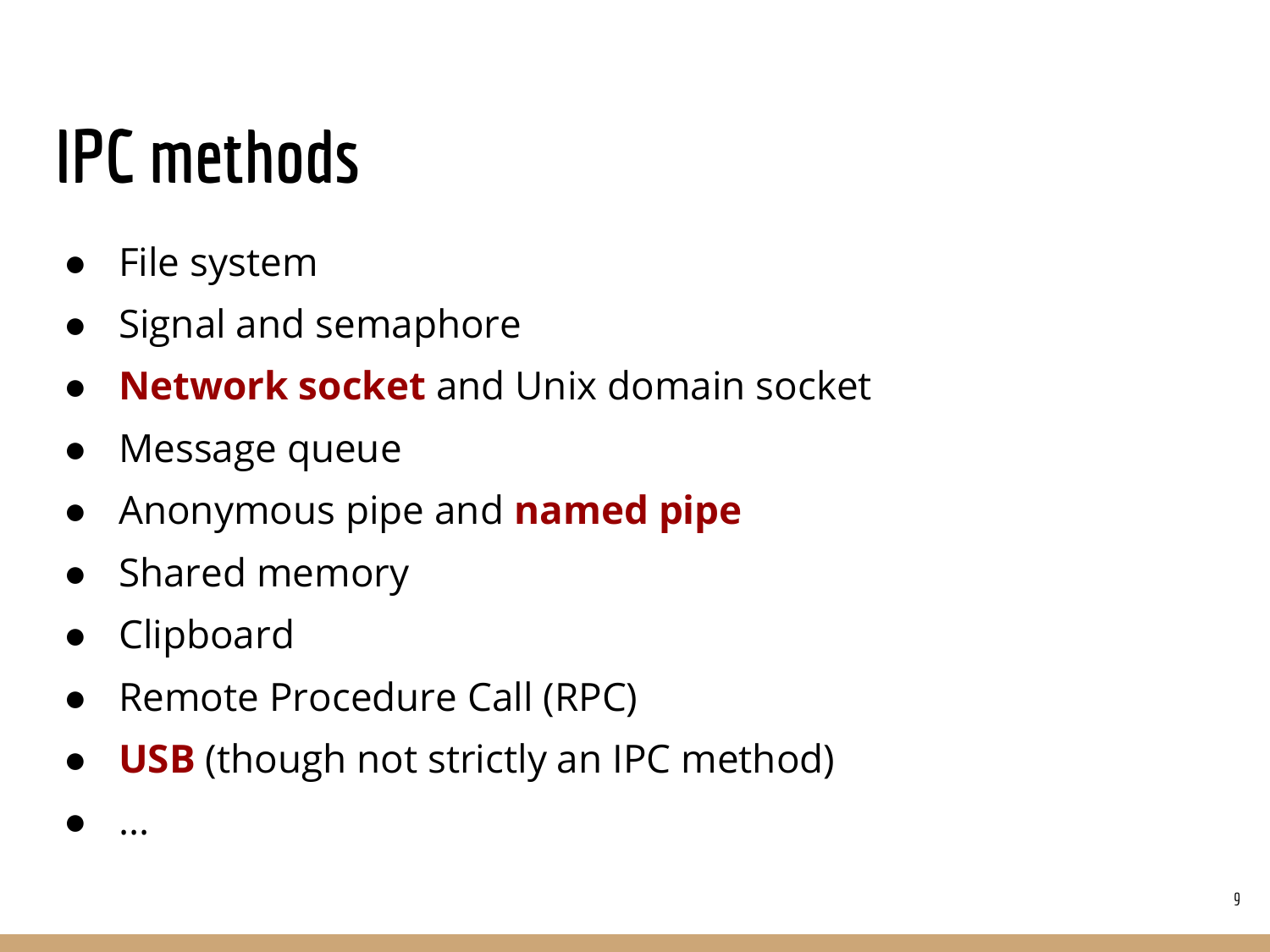### IPC methods

- File system
- Signal and semaphore
- **Network socket** and Unix domain socket
- Message queue
- Anonymous pipe and **named pipe**
- Shared memory
- Clipboard

● ...

- Remote Procedure Call (RPC)
- **USB** (though not strictly an IPC method)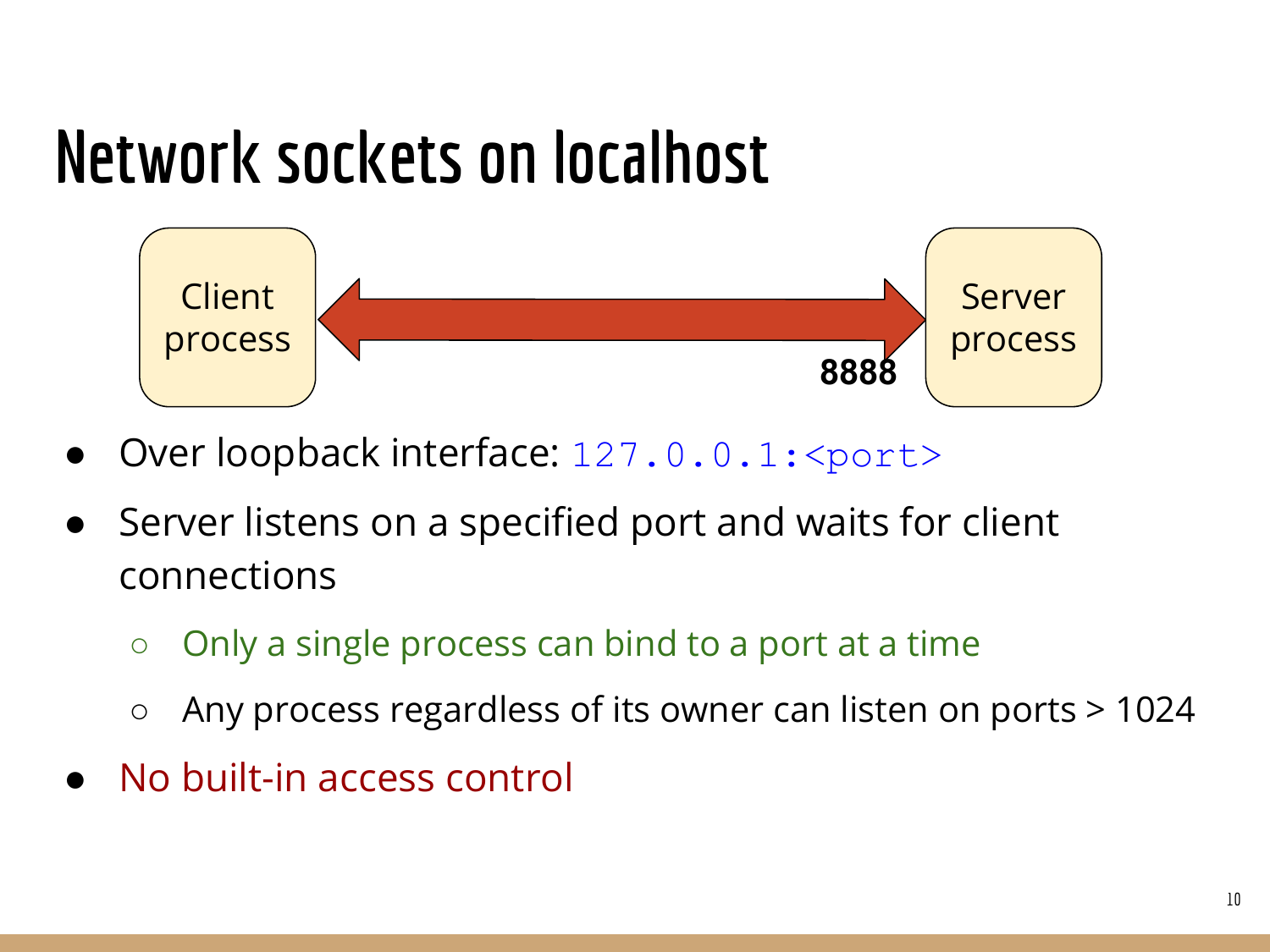#### Network sockets on localhost



- Over loopback interface: 127.0.0.1: < port>
- Server listens on a specified port and waits for client connections
	- Only a single process can bind to a port at a time
	- Any process regardless of its owner can listen on ports > 1024
- No built-in access control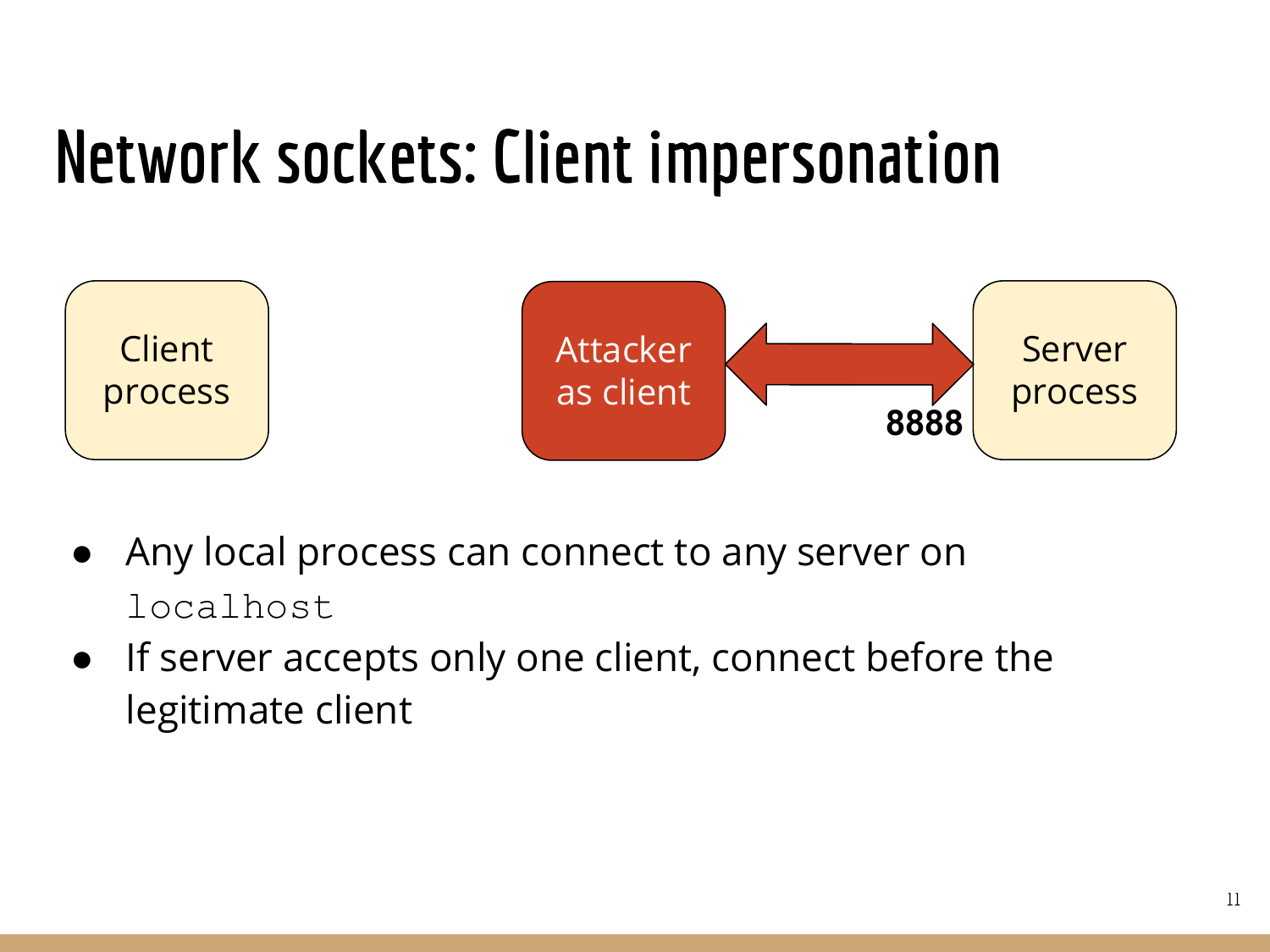#### Network sockets: Client impersonation



- Any local process can connect to any server on localhost
- If server accepts only one client, connect before the legitimate client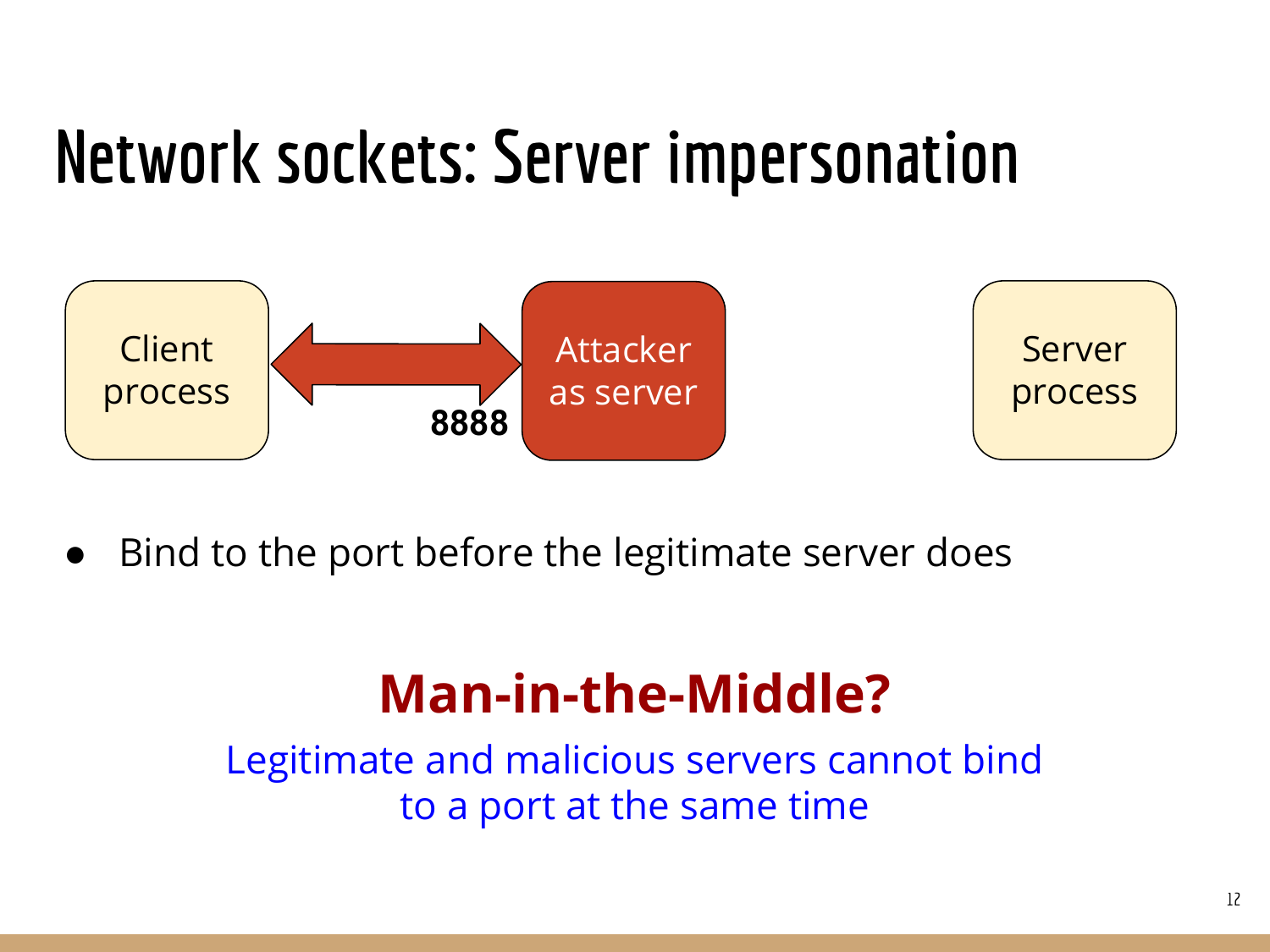#### Network sockets: Server impersonation



Bind to the port before the legitimate server does

#### Man-in-the-Middle?

Legitimate and malicious servers cannot bind to a port at the same time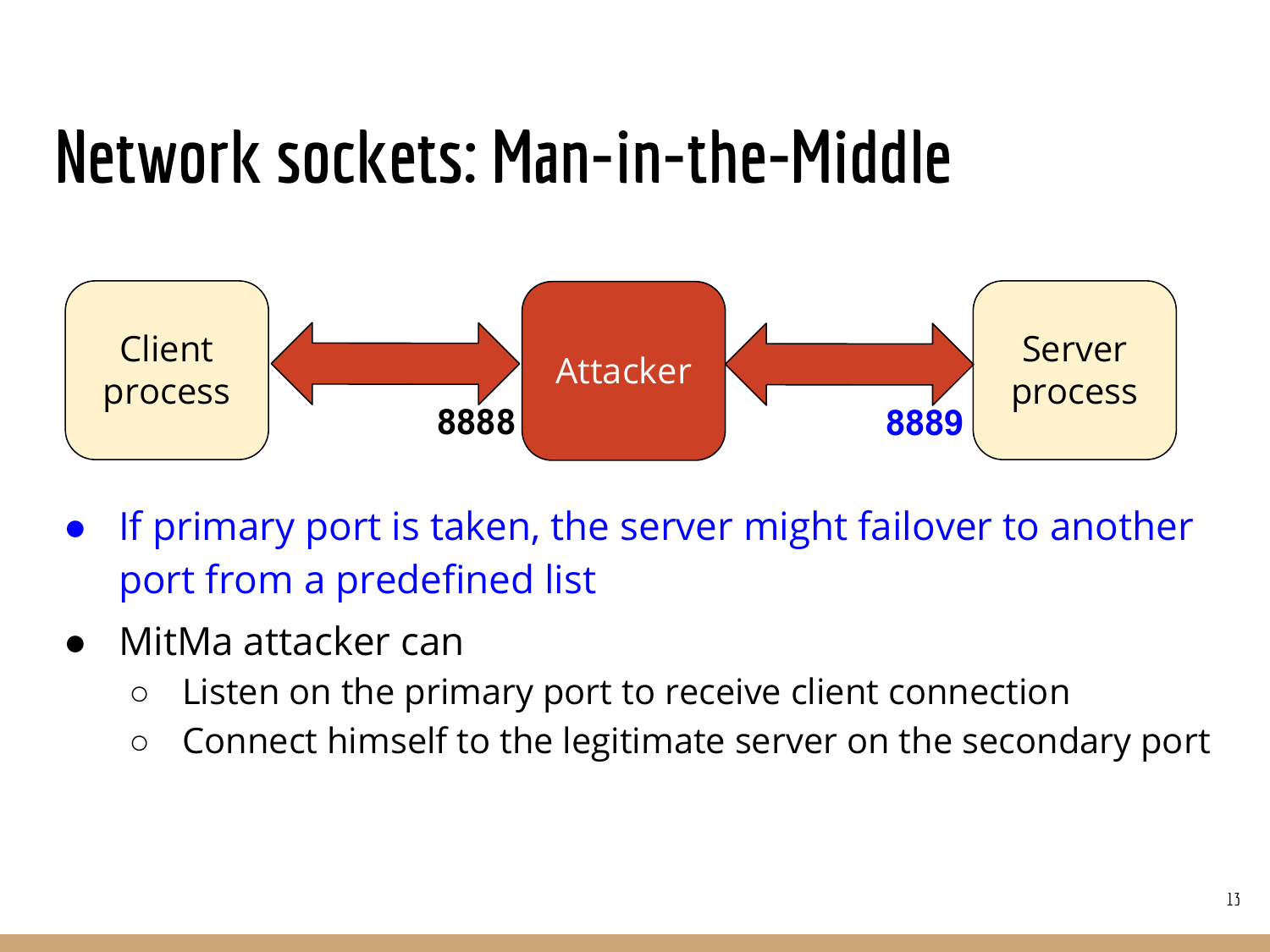#### Network sockets: Man-in-the-Middle



- If primary port is taken, the server might failover to another port from a predefined list
- MitMa attacker can
	- Listen on the primary port to receive client connection
	- Connect himself to the legitimate server on the secondary port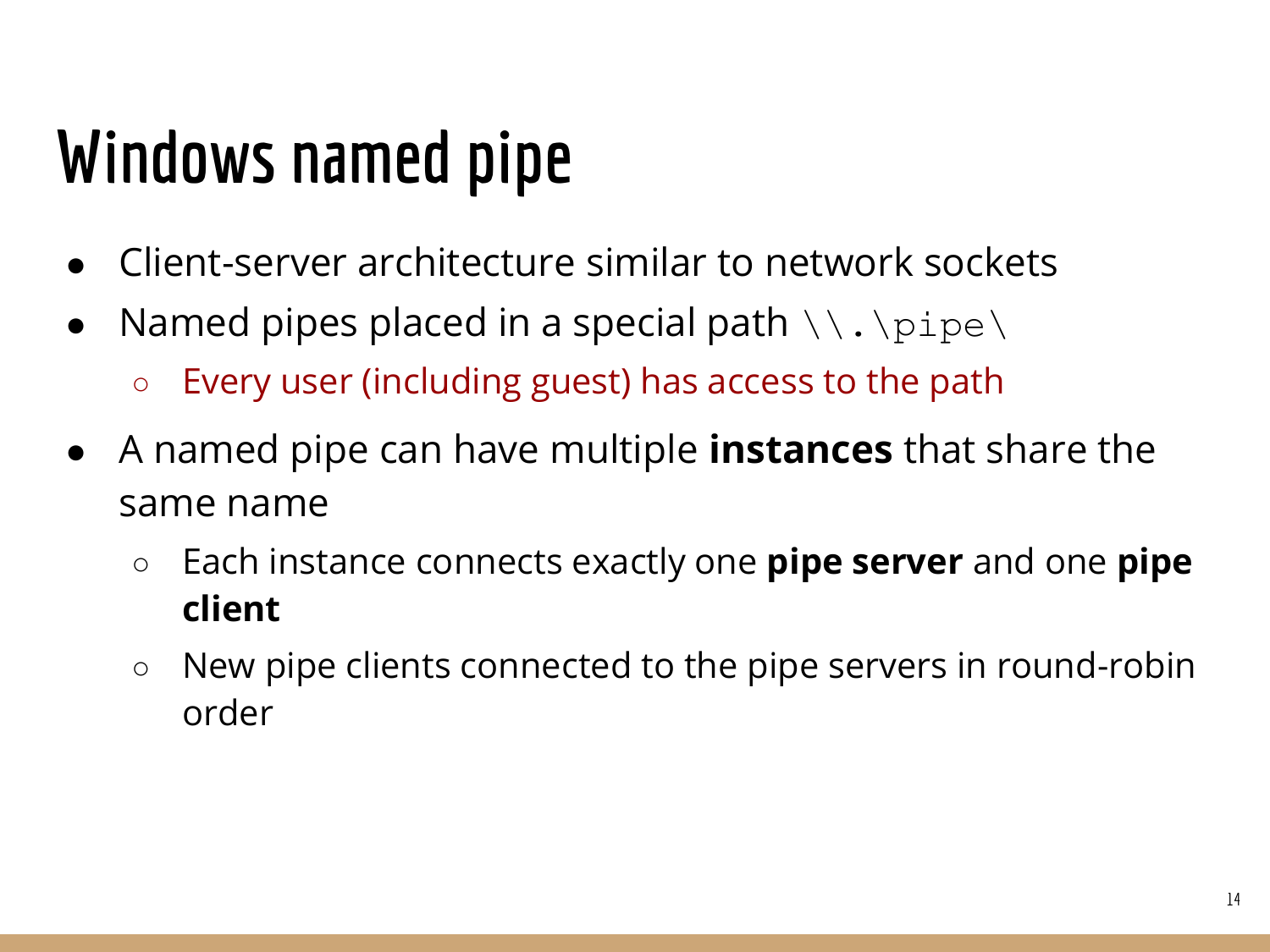### Windows named pipe

- Client-server architecture similar to network sockets
- Named pipes placed in a special path  $\setminus\setminus\ldots\setminus\mathop{\rm pipe}\setminus\setminus$ 
	- Every user (including guest) has access to the path
- A named pipe can have multiple **instances** that share the same name
	- $\circ$  Each instance connects exactly one **pipe server** and one **pipe** client
	- New pipe clients connected to the pipe servers in round-robin order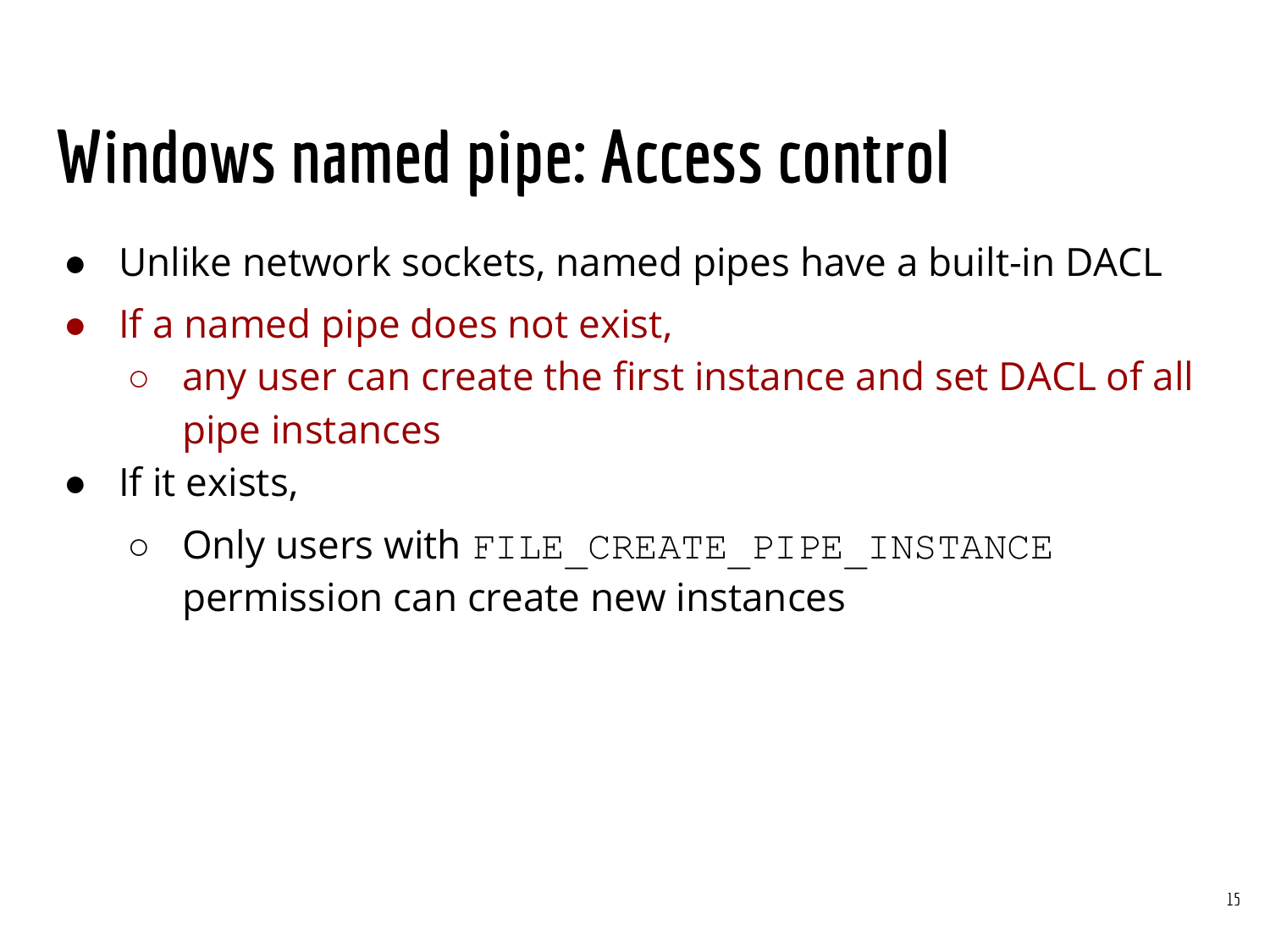### Windows named pipe: Access control

- Unlike network sockets, named pipes have a built-in DACL
- If a named pipe does not exist,
	- any user can create the first instance and set DACL of all pipe instances
- If it exists,
	- O Only users with FILE CREATE PIPE INSTANCE permission can create new instances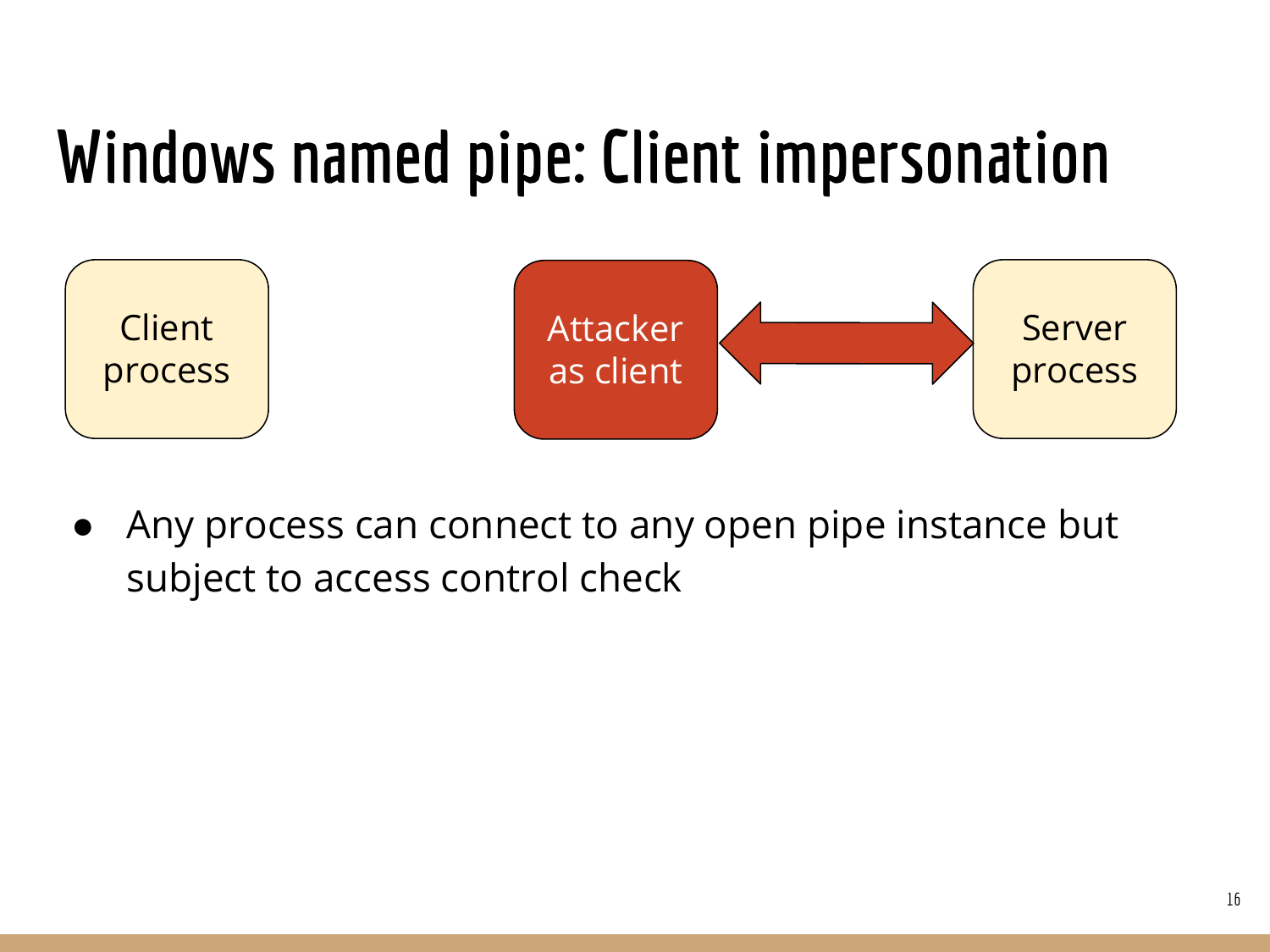#### Windows named pipe: Client impersonation



● Any process can connect to any open pipe instance but subject to access control check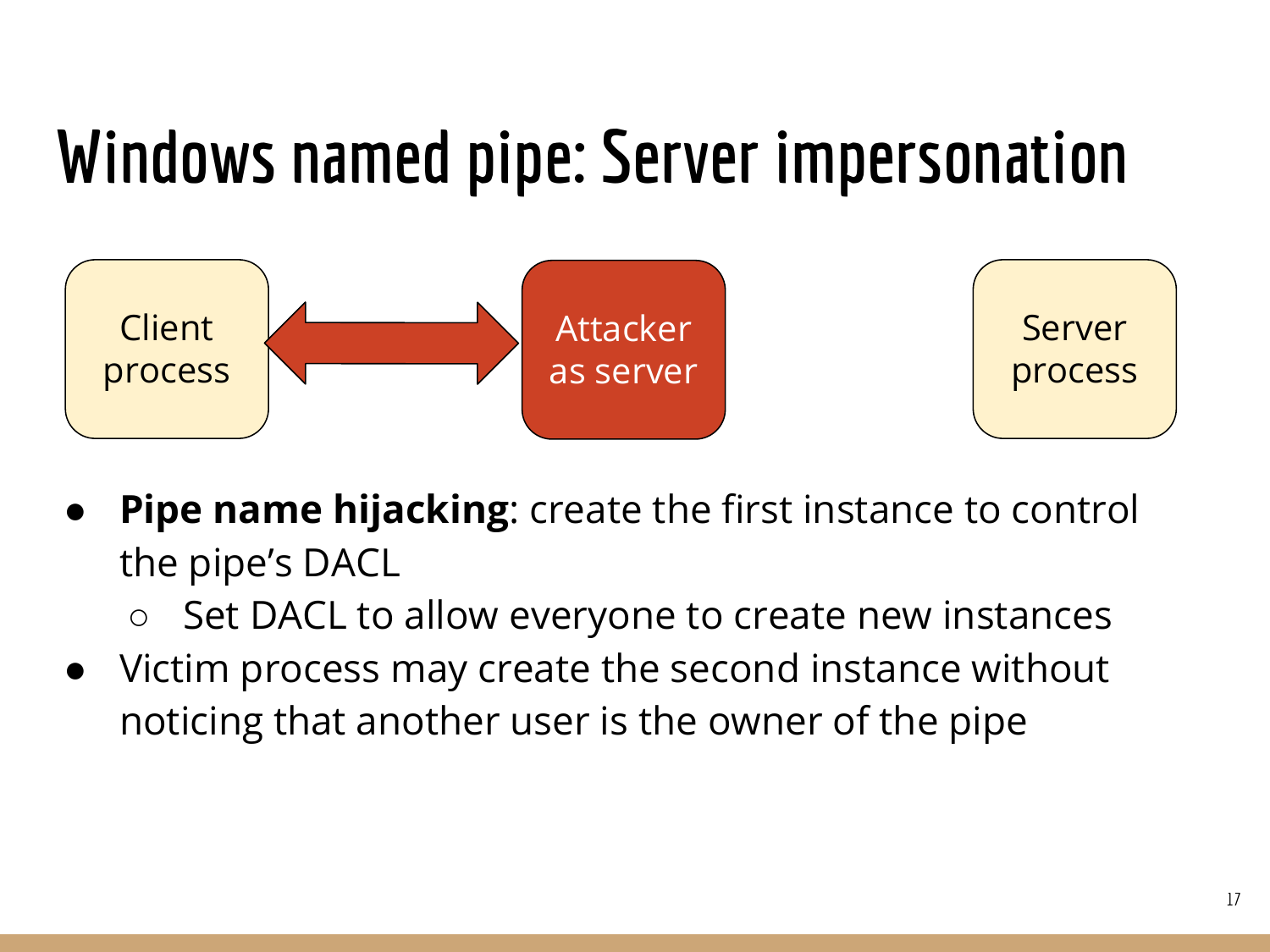#### Windows named pipe: Server impersonation



- **Pipe name hijacking:** create the first instance to control the pipe's DACL
	- Set DACL to allow everyone to create new instances
- Victim process may create the second instance without noticing that another user is the owner of the pipe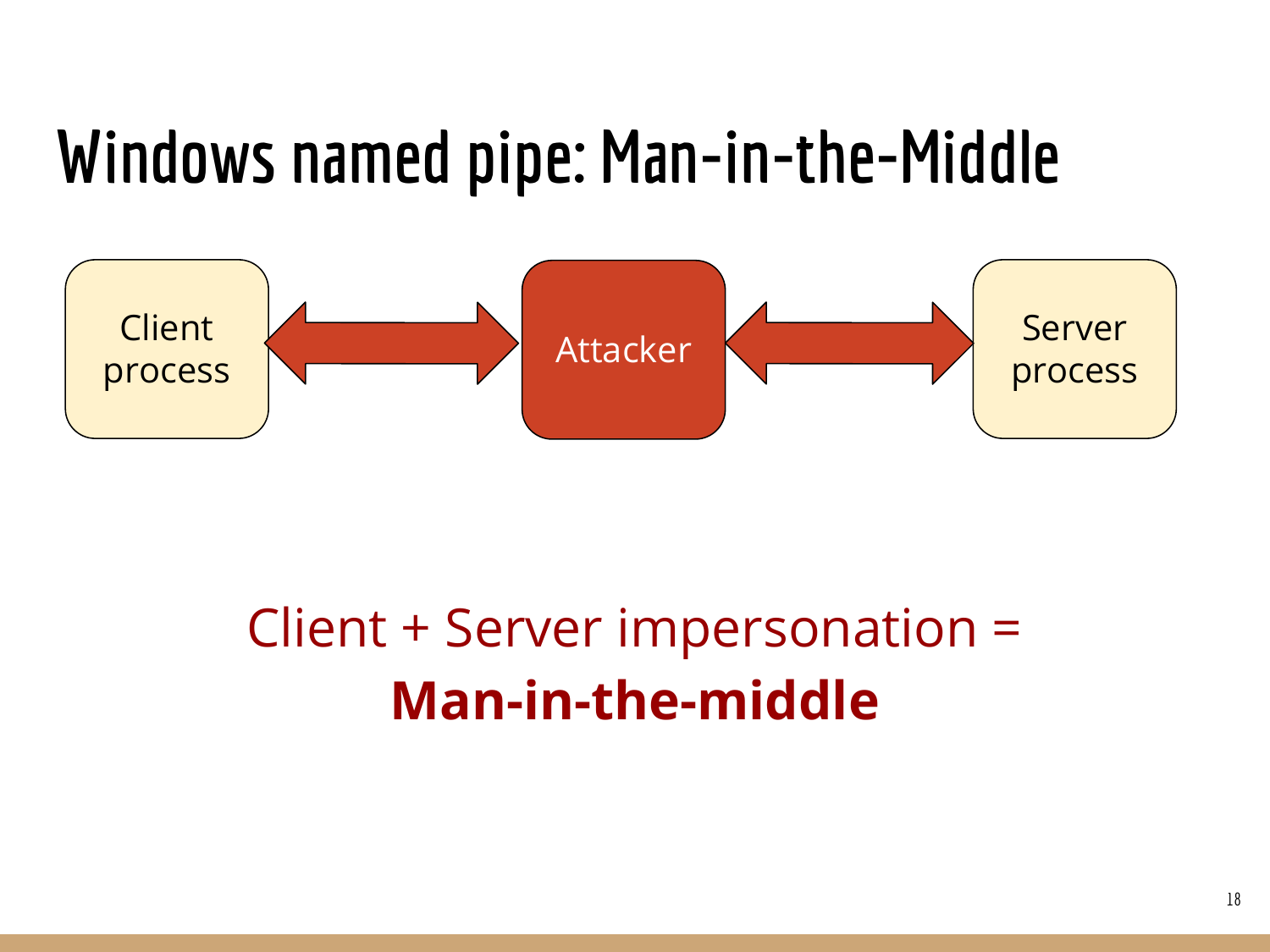#### Windows named pipe: Man-in-the-Middle



#### Client + Server impersonation = Man-in-the-middle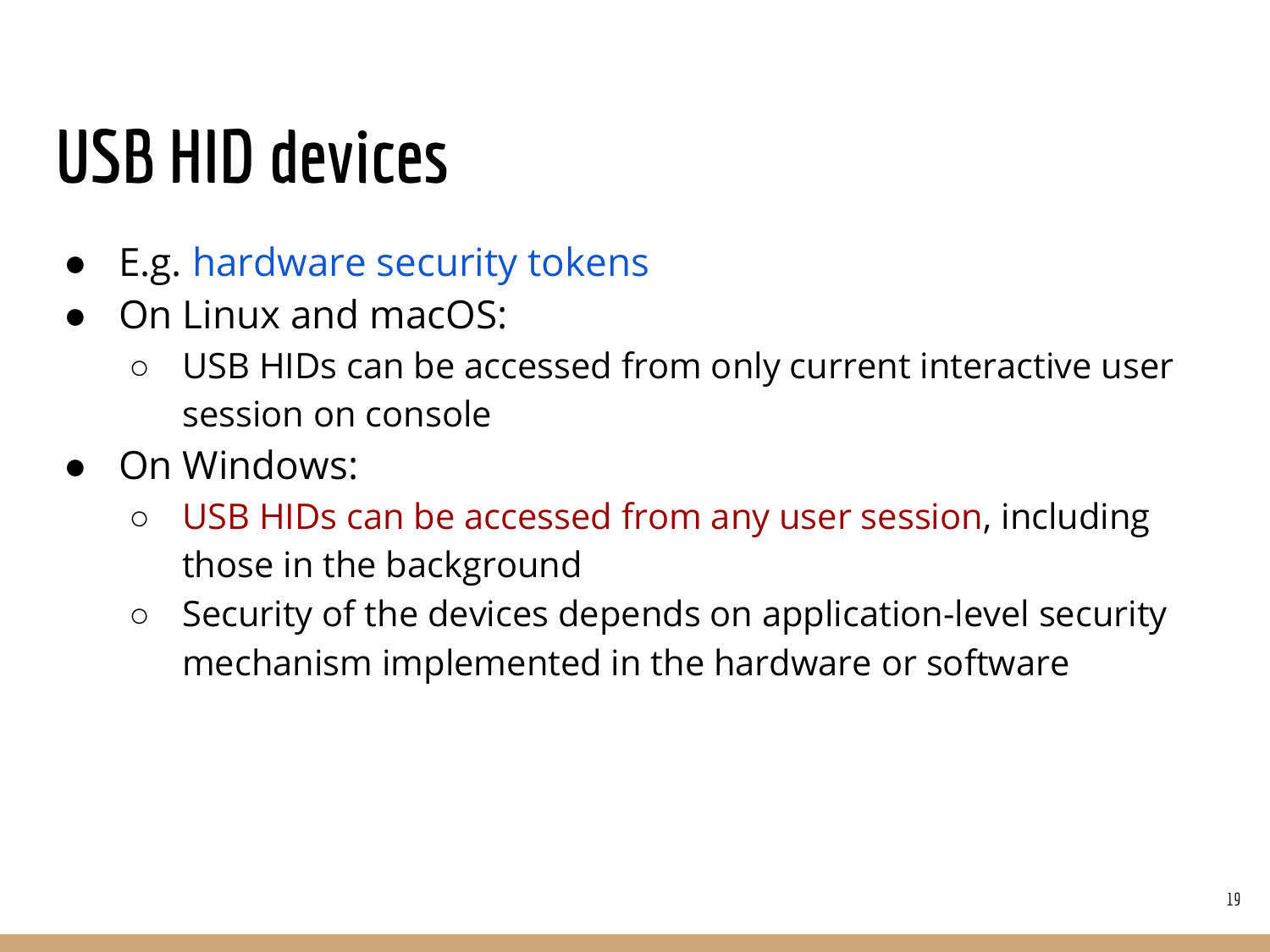### USB HID devices

- **E.g. hardware security tokens**
- On Linux and macOS:
	- USB HIDs can be accessed from only current interactive user session on console
- On Windows:
	- USB HIDs can be accessed from any user session, including those in the background
	- Security of the devices depends on application-level security mechanism implemented in the hardware or software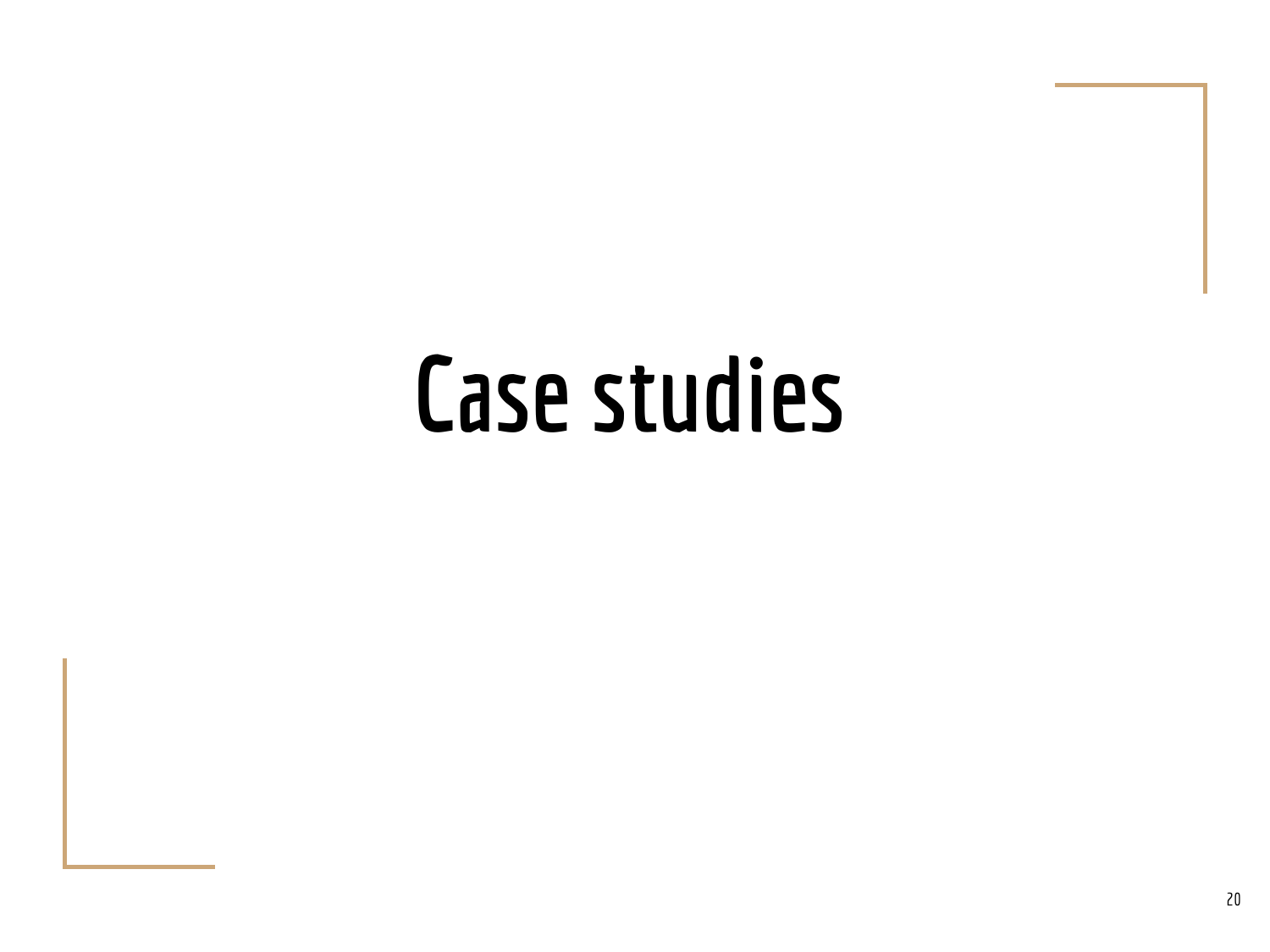## Case studies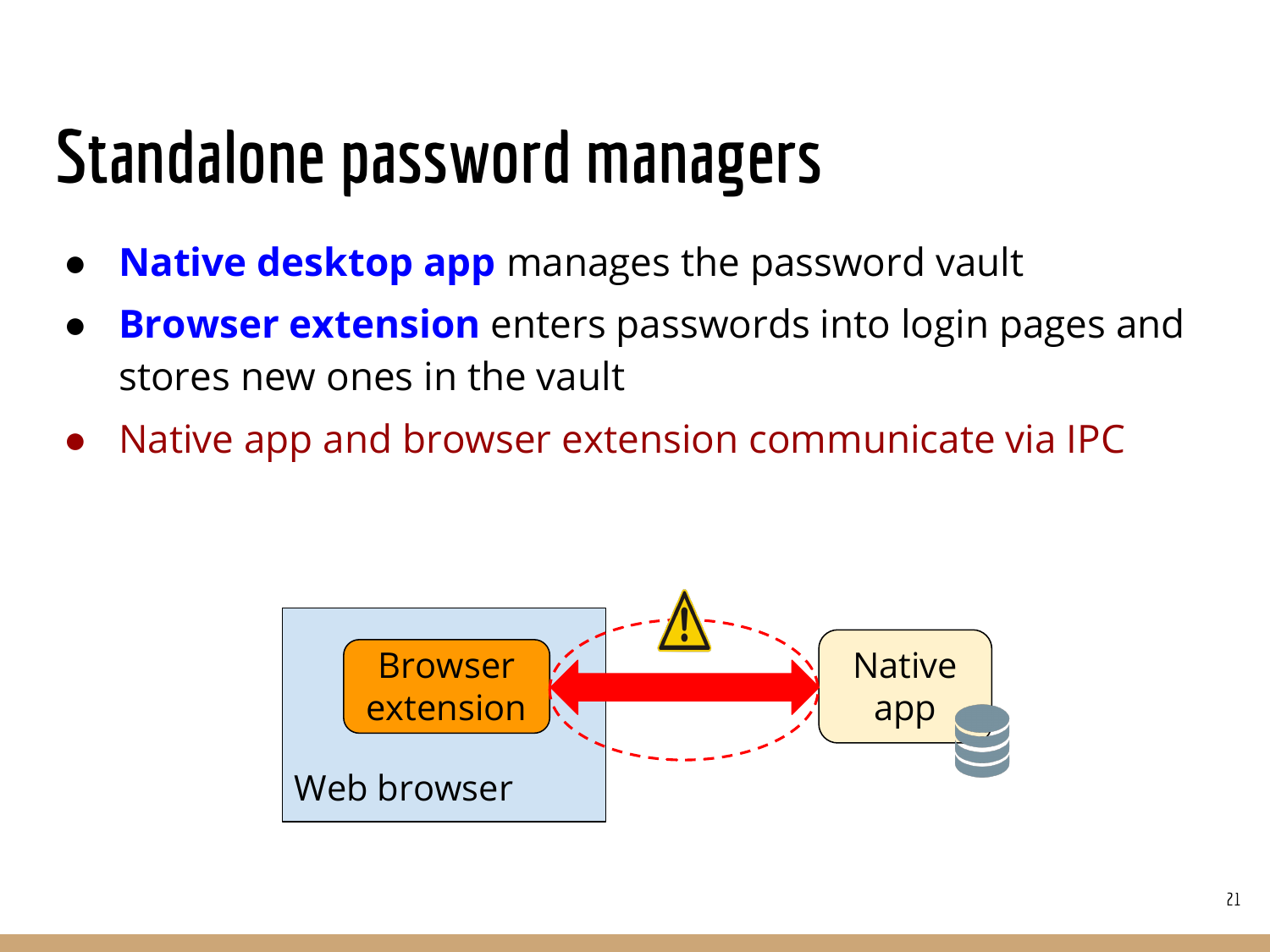#### Standalone password managers

- Native desktop app manages the password vault
- **Browser extension** enters passwords into login pages and stores new ones in the vault
- Native app and browser extension communicate via IPC

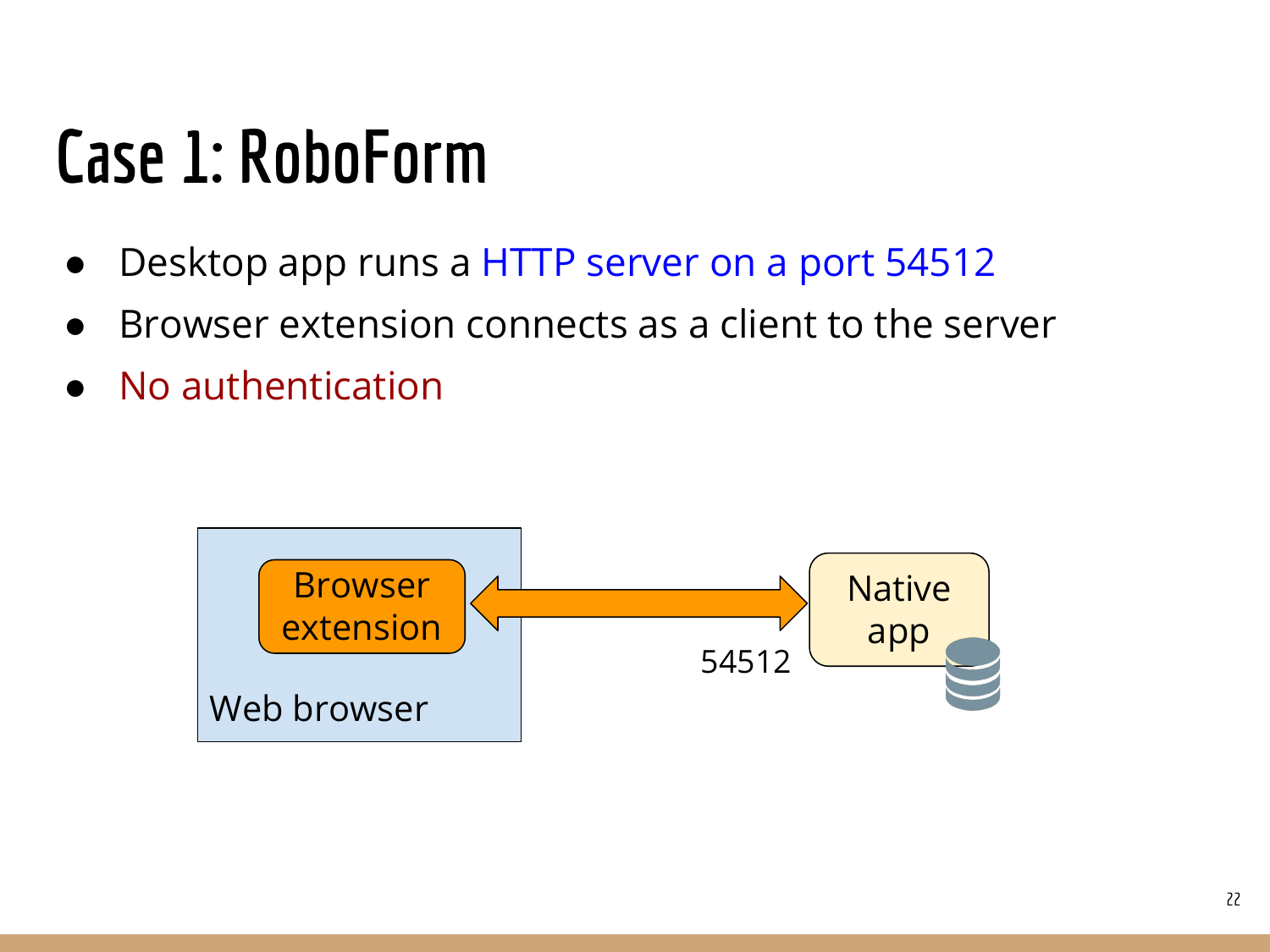#### Case 1: RoboForm

- Desktop app runs a HTTP server on a port 54512
- Browser extension connects as a client to the server
- No authentication

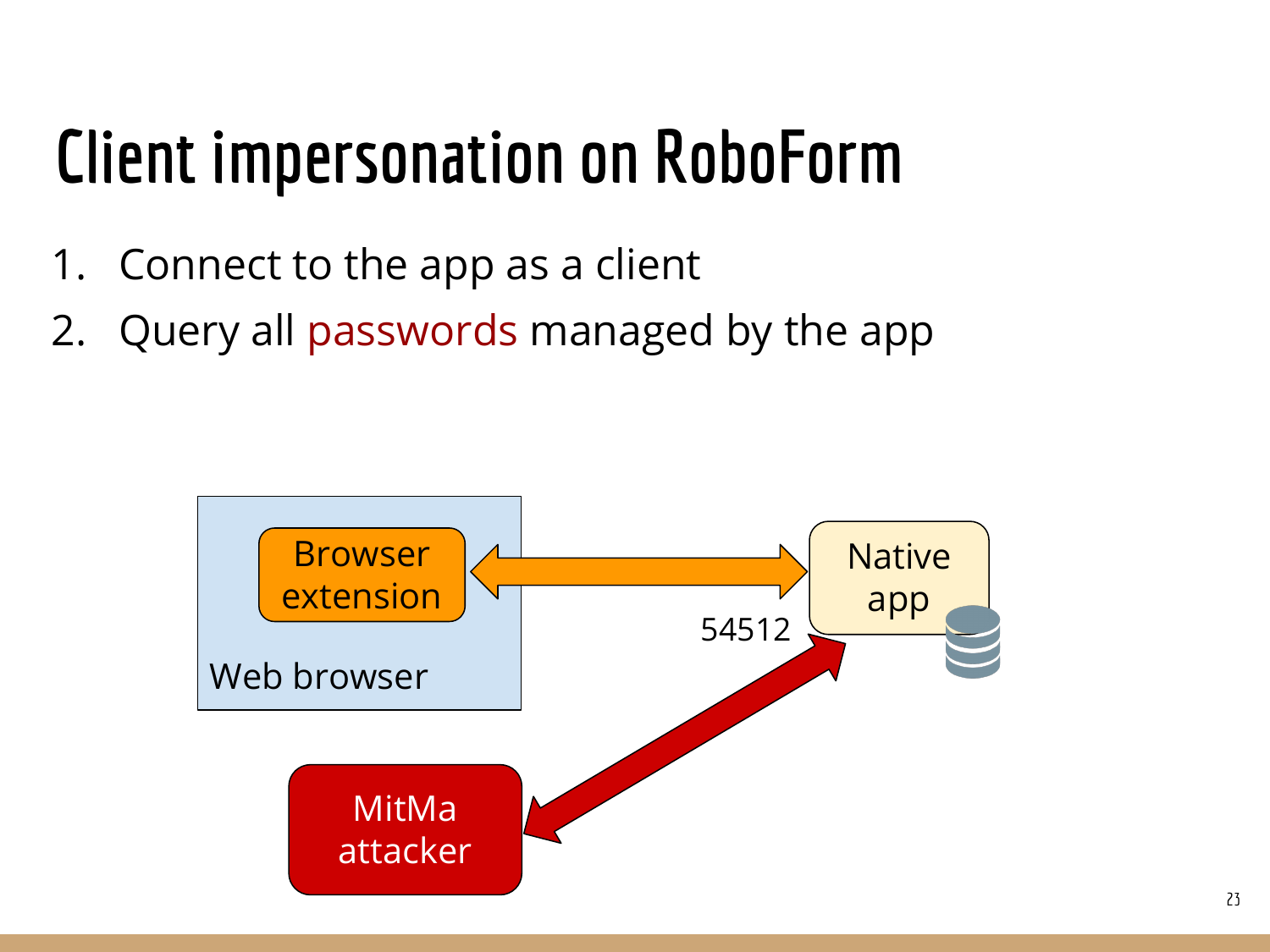### Client impersonation on RoboForm

- 1. Connect to the app as a client
- 2. Query all passwords managed by the app

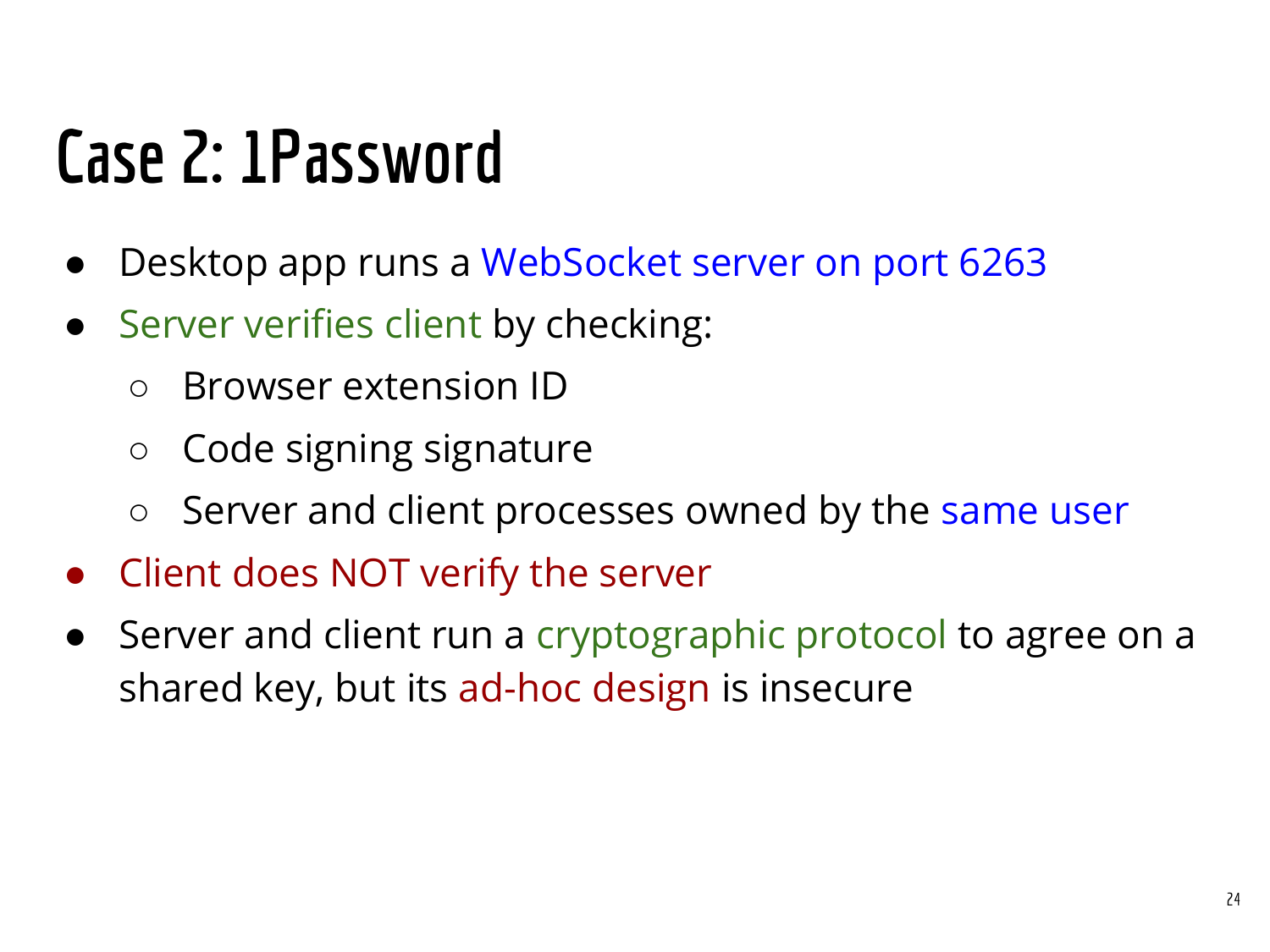#### Case 2: 1Password

- Desktop app runs a WebSocket server on port 6263
- Server verifies client by checking:
	- Browser extension ID
	- Code signing signature
	- Server and client processes owned by the same user
- Client does NOT verify the server
- Server and client run a cryptographic protocol to agree on a shared key, but its ad-hoc design is insecure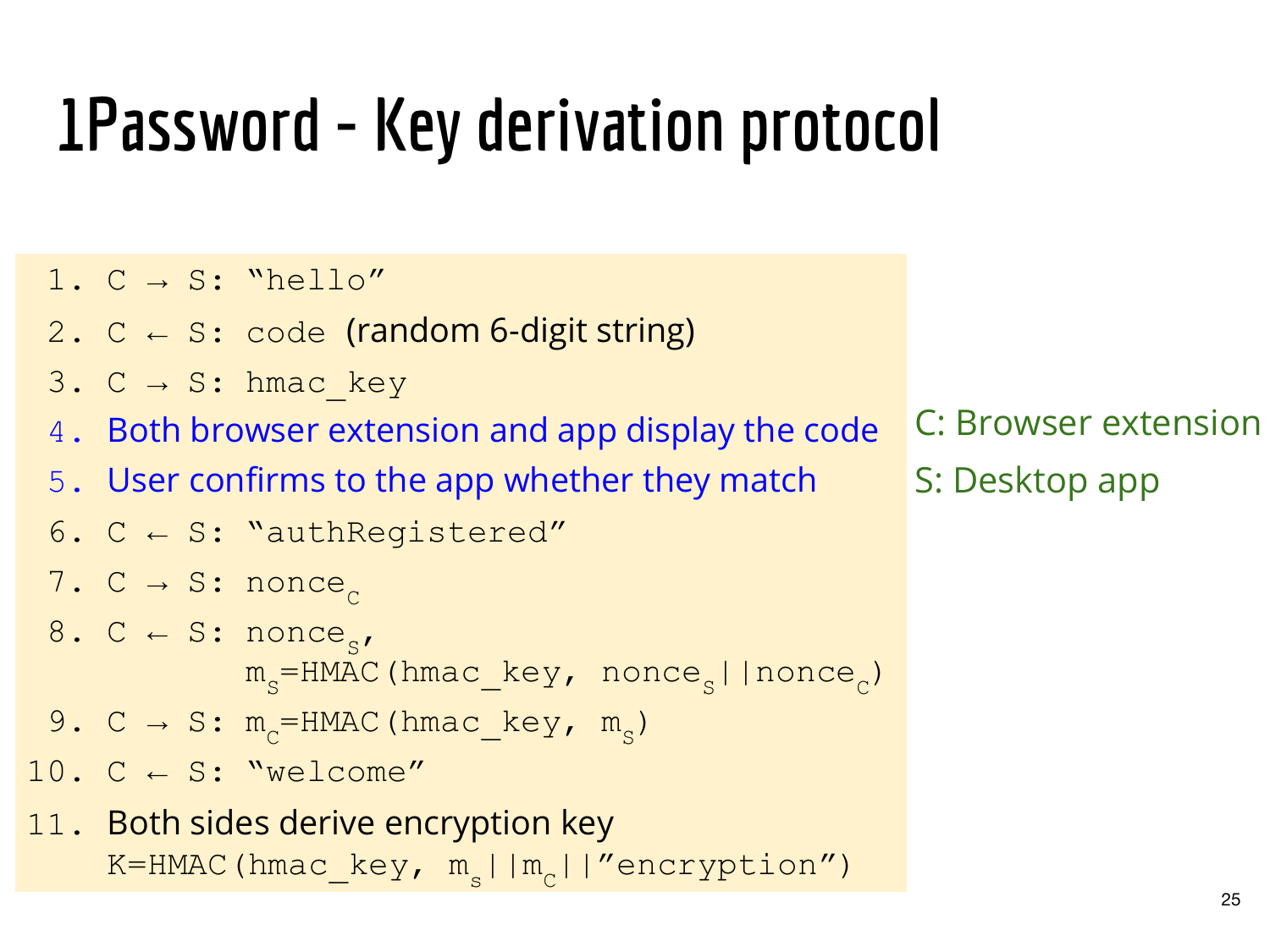### 1Password - Key derivation protocol

- 1.  $C \rightarrow S$ : "hello"
- 2.  $C \leftarrow S$ : code (random 6-digit string)
- 3. C  $\rightarrow$  S: hmac key
- 4. Both browser extension and app display the code
- 5. User confirms to the app whether they match
- 6.  $C \leftarrow S$ : "authRegistered"
- 7. C  $\rightarrow$  S: nonce<sub>c</sub>
- 8.  $C \leftarrow S: \text{ nonce}_{s}$  $m_s$ =HMAC(hmac\_key, nonce<sub>s</sub>||nonce<sub>c</sub>)
- 9. C  $\rightarrow$  S:  $m_c$ =HMAC(hmac\_key,  $m_s$ )
- 10.  $C \leftarrow S: "welcome"$
- 11. Both sides derive encryption key K=HMAC(hmac\_key,  $m_{c}$ || $m_{c}$ ||"encryption")

C: Browser extension S: Desktop app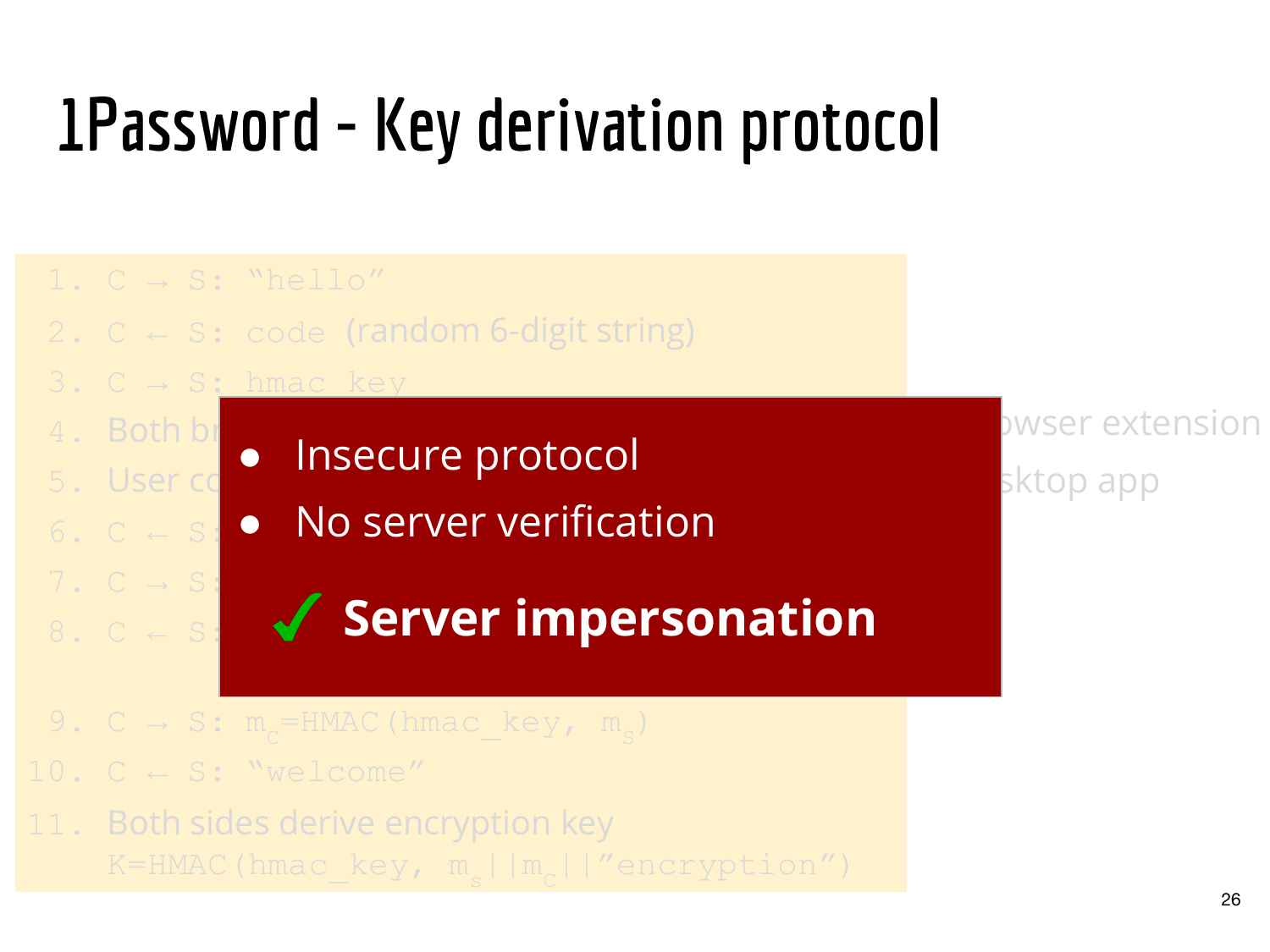### 1Password - Key derivation protocol



26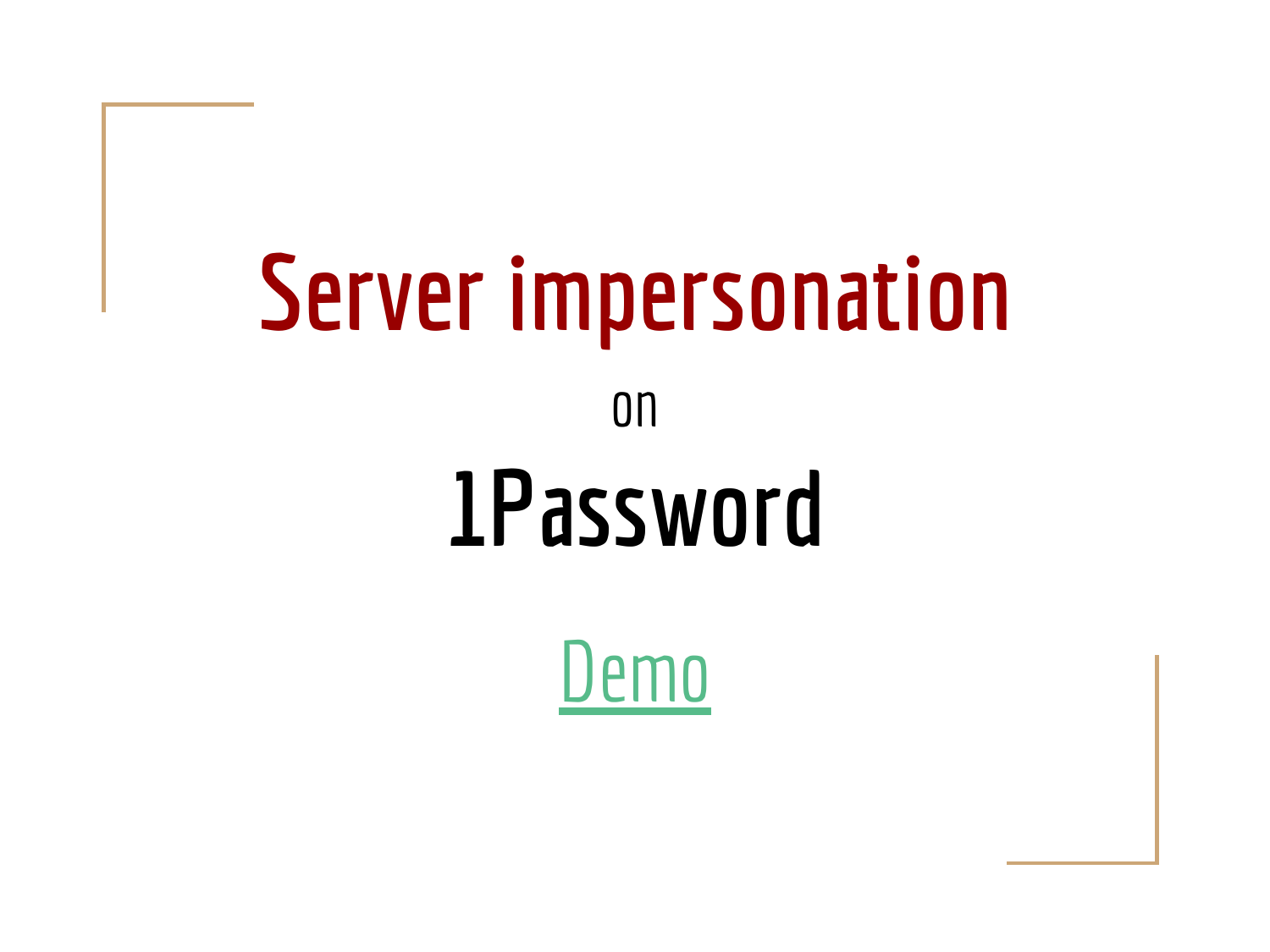## Server impersonation on 1Password

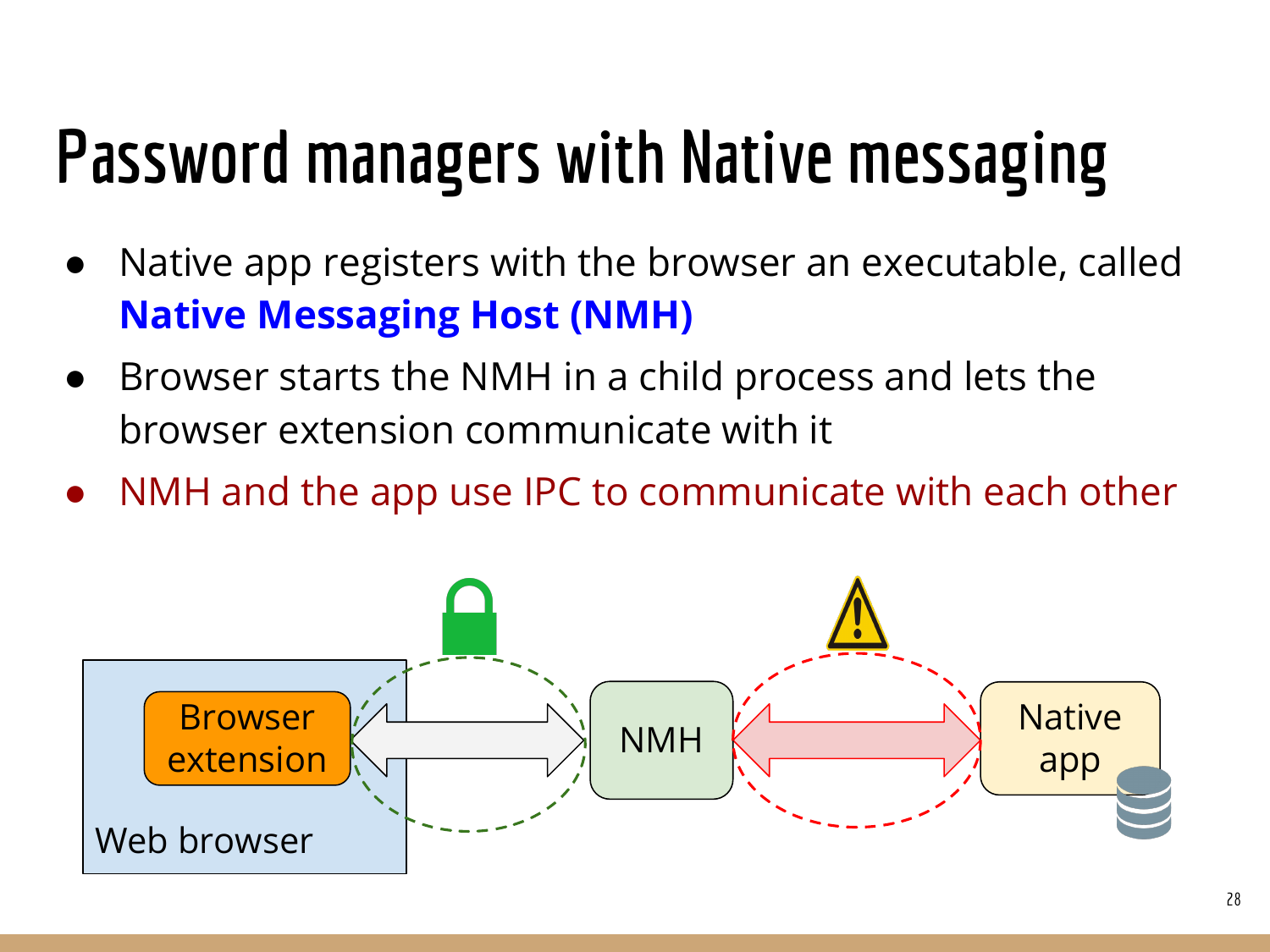### Password managers with Native messaging

- Native app registers with the browser an executable, called Native Messaging Host (NMH)
- Browser starts the NMH in a child process and lets the browser extension communicate with it
- NMH and the app use IPC to communicate with each other

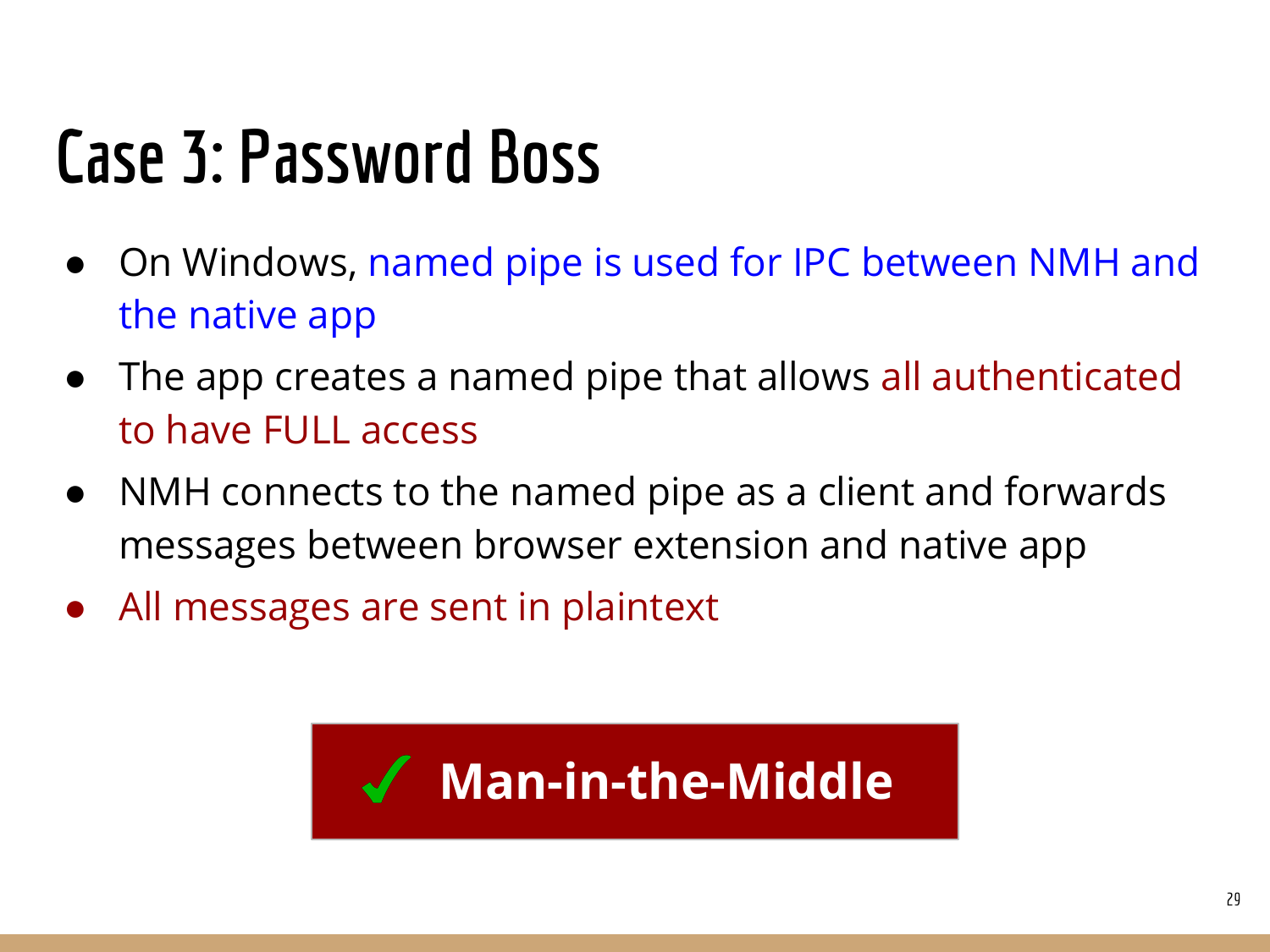### Case 3: Password Boss

- On Windows, named pipe is used for IPC between NMH and the native app
- The app creates a named pipe that allows all authenticated to have FULL access
- NMH connects to the named pipe as a client and forwards messages between browser extension and native app
- All messages are sent in plaintext

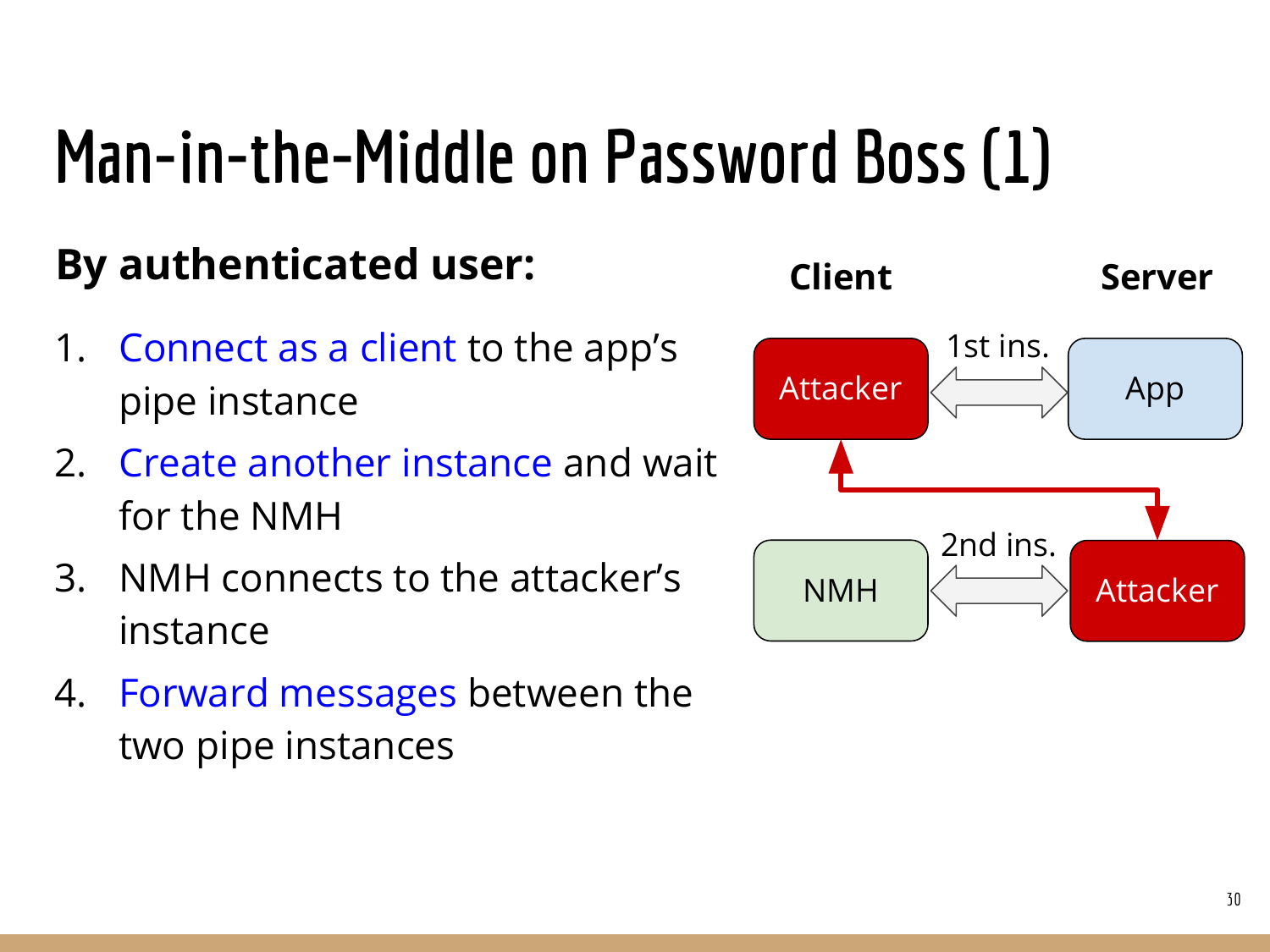#### Man-in-the-Middle on Password Boss (1)

#### By authenticated user:

- 1. Connect as a client to the app's pipe instance
- 2. Create another instance and wait for the NMH
- 3. NMH connects to the attacker's instance
- 4. Forward messages between the two pipe instances

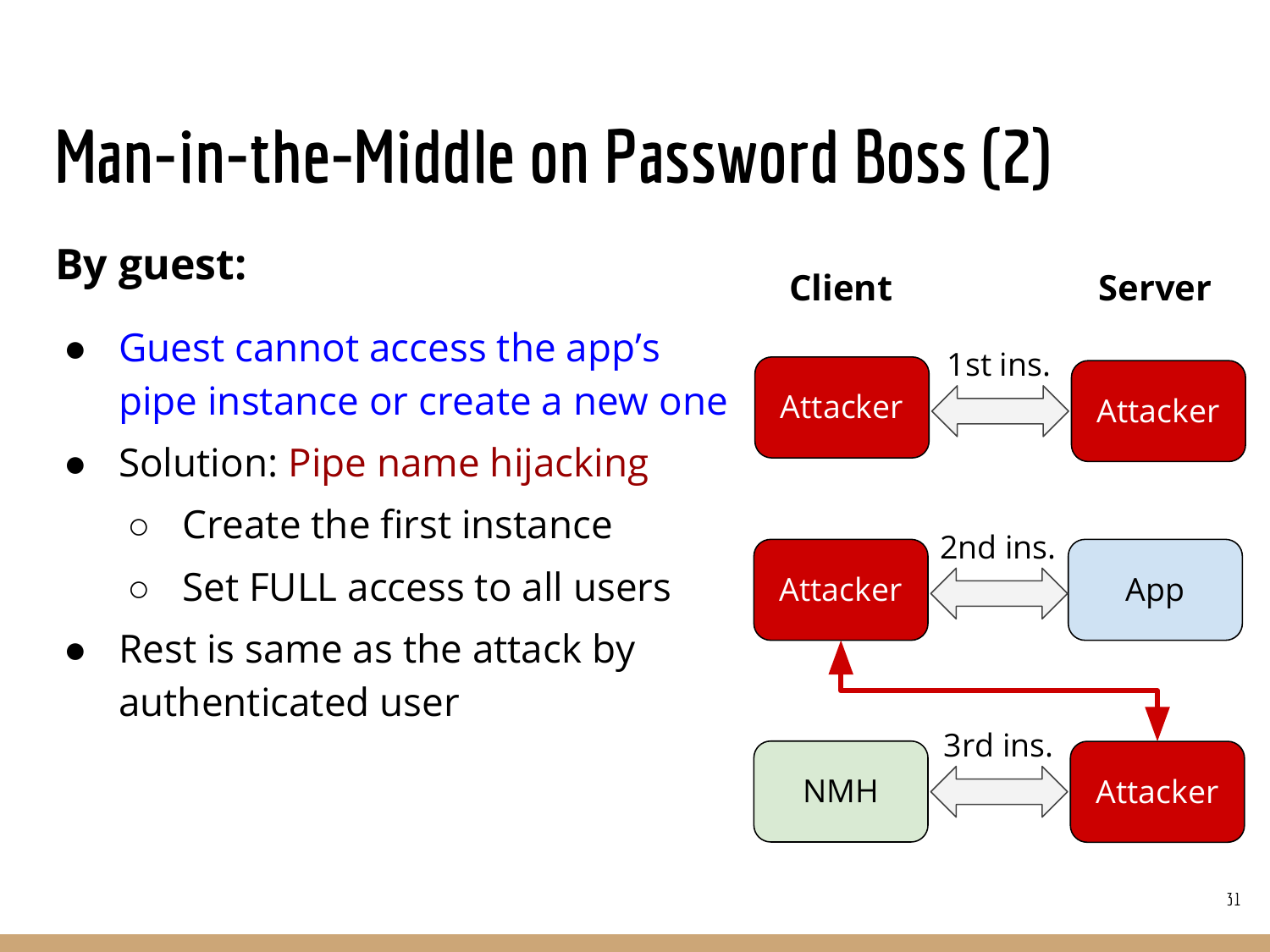### Man-in-the-Middle on Password Boss (2)

#### By guest:

- Guest cannot access the app's pipe instance or create a new one
- Solution: Pipe name hijacking
	- Create the first instance
	- Set FULL access to all users
- Rest is same as the attack by authenticated user

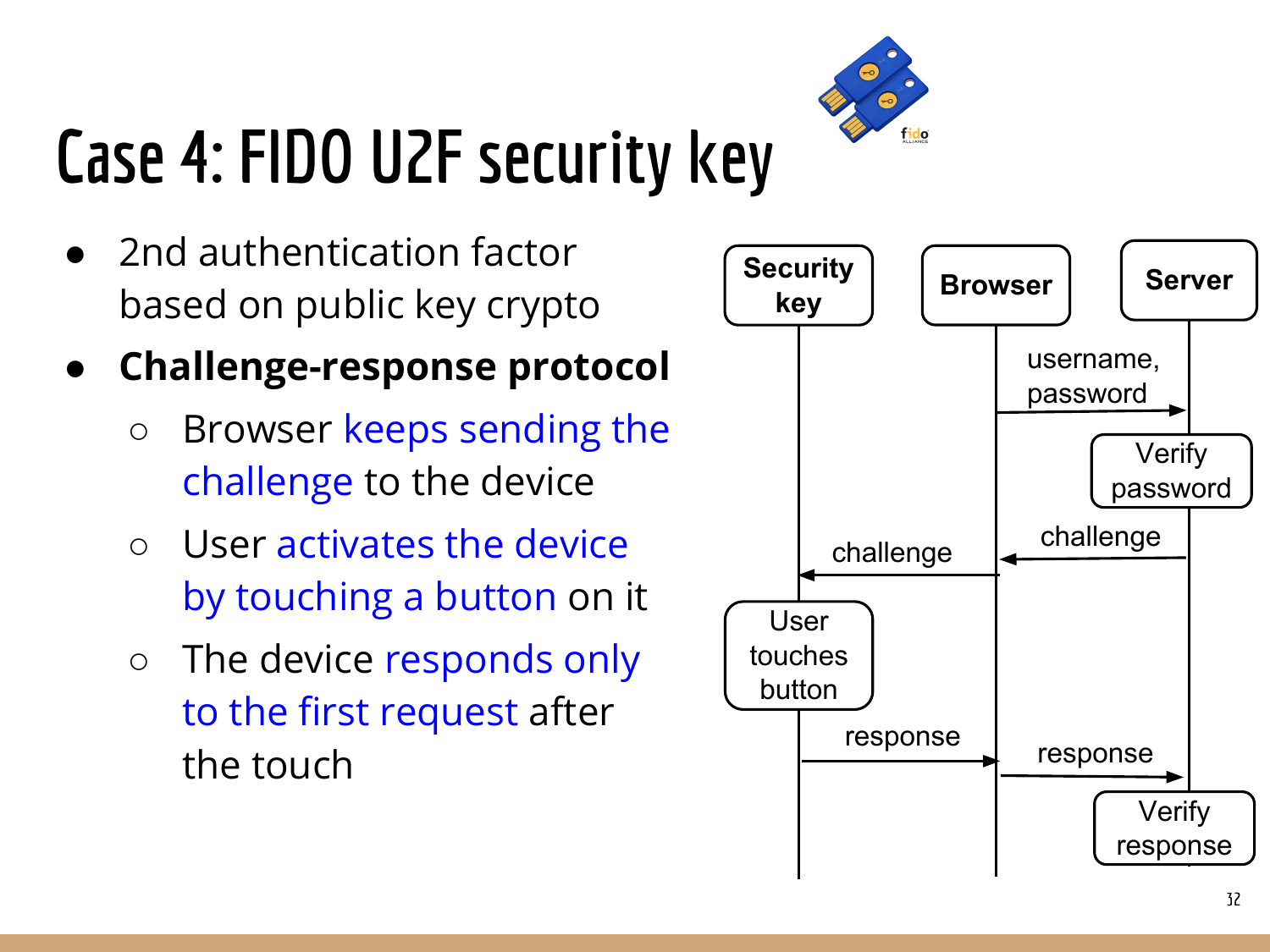

## Case 4: FIDO U2F security key

- 2nd authentication factor based on public key crypto
- Challenge-response protocol
	- Browser keeps sending the challenge to the device
	- User activates the device by touching a button on it
	- The device responds only to the first request after the touch

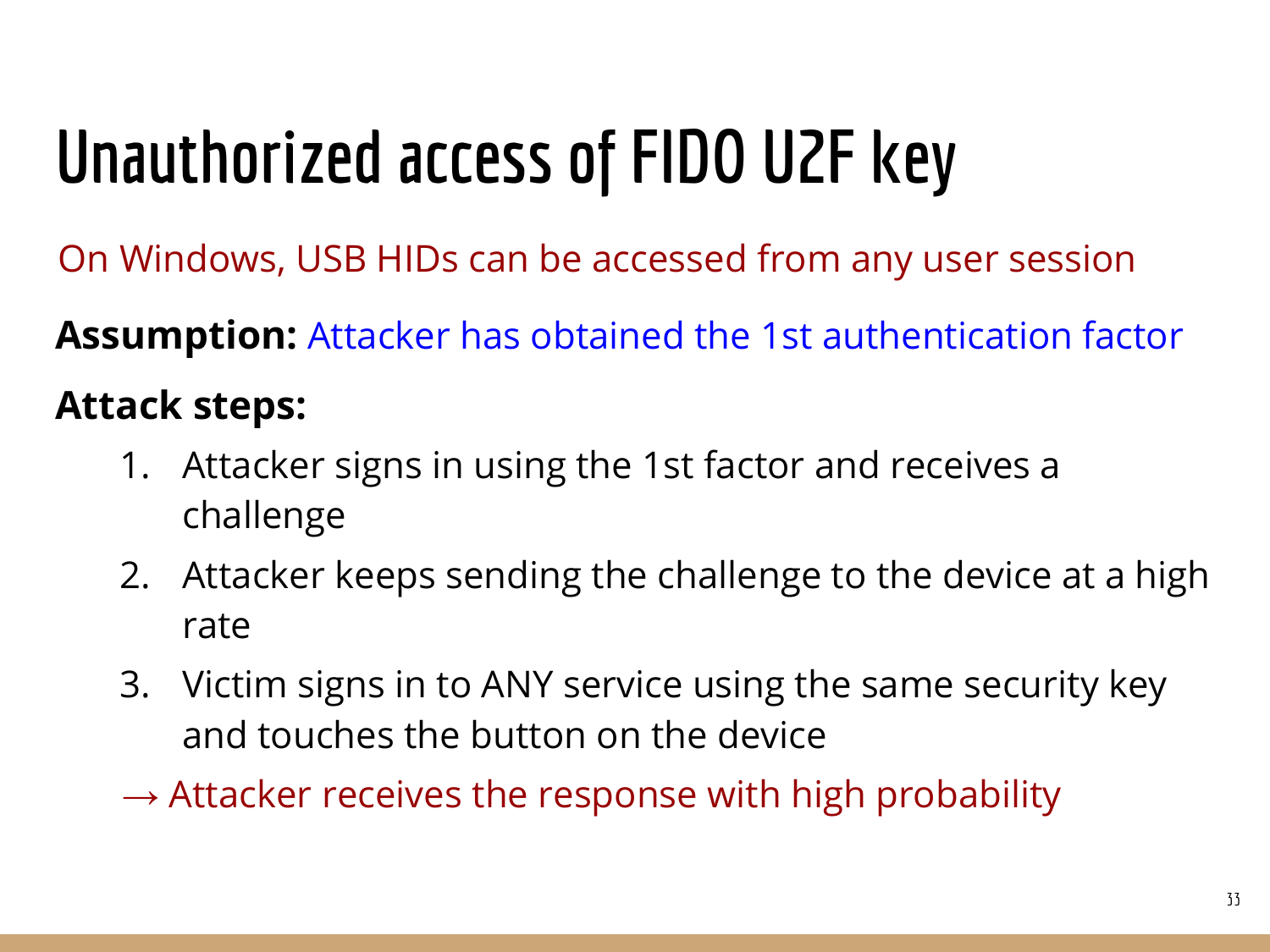## Unauthorized access of FIDO U2F key

On Windows, USB HIDs can be accessed from any user session

Assumption: Attacker has obtained the 1st authentication factor

#### Attack steps:

- 1. Attacker signs in using the 1st factor and receives a challenge
- 2. Attacker keeps sending the challenge to the device at a high rate
- 3. Victim signs in to ANY service using the same security key and touches the button on the device
- $\rightarrow$  Attacker receives the response with high probability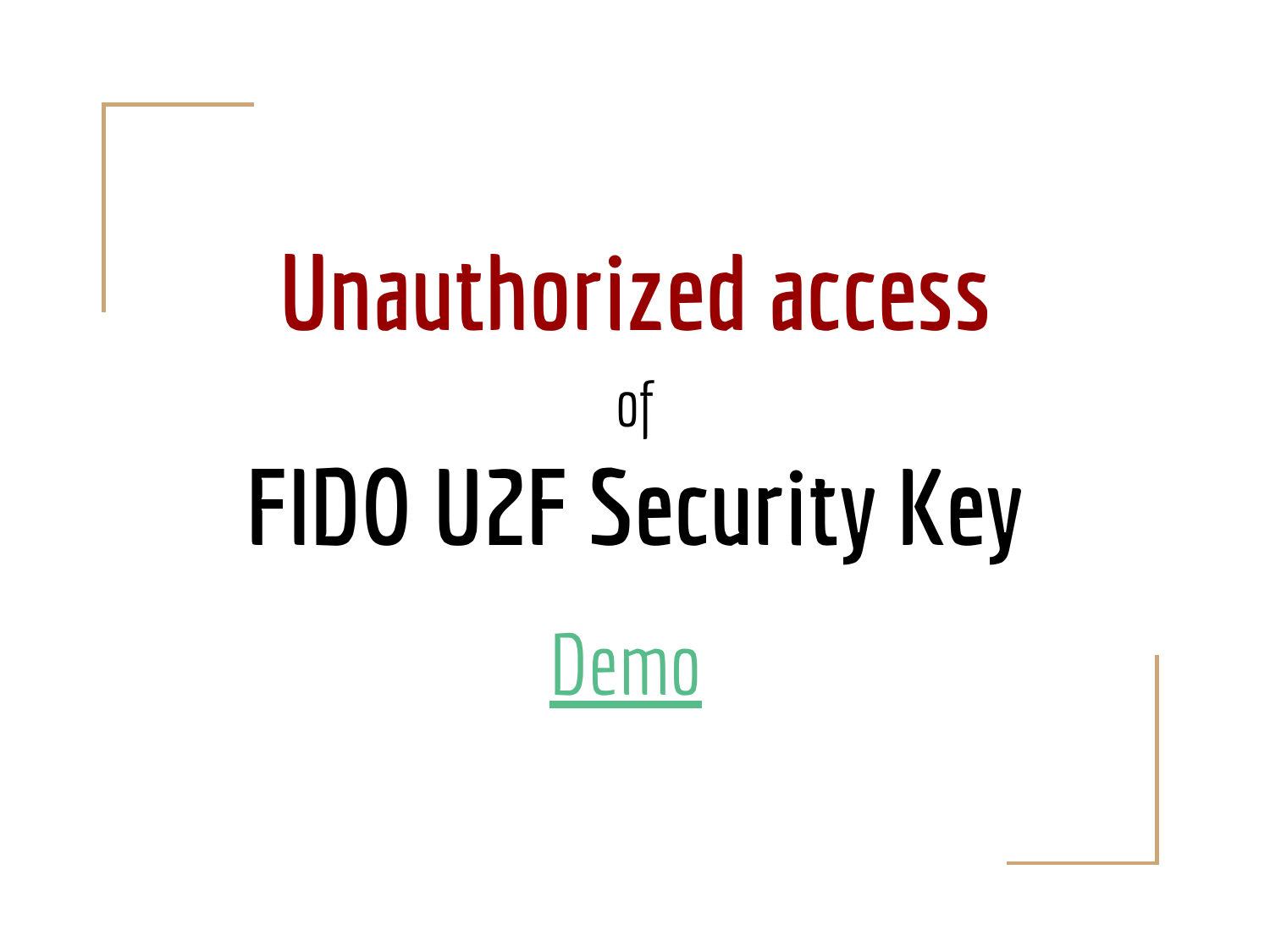# Unauthorized access of FIDO U2F Security Key

 $\overline{\text{nn}}$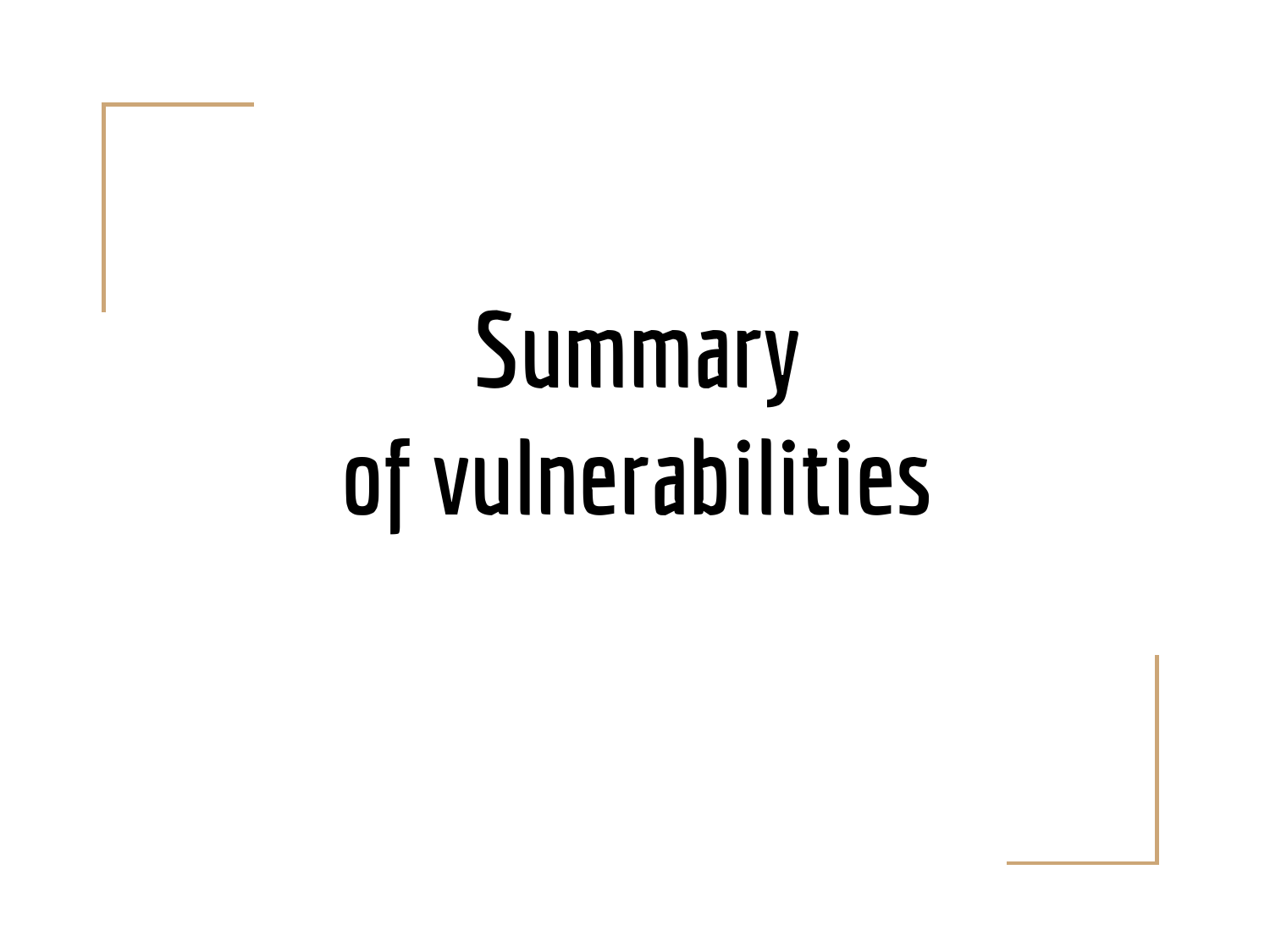# Summary of vulnerabilities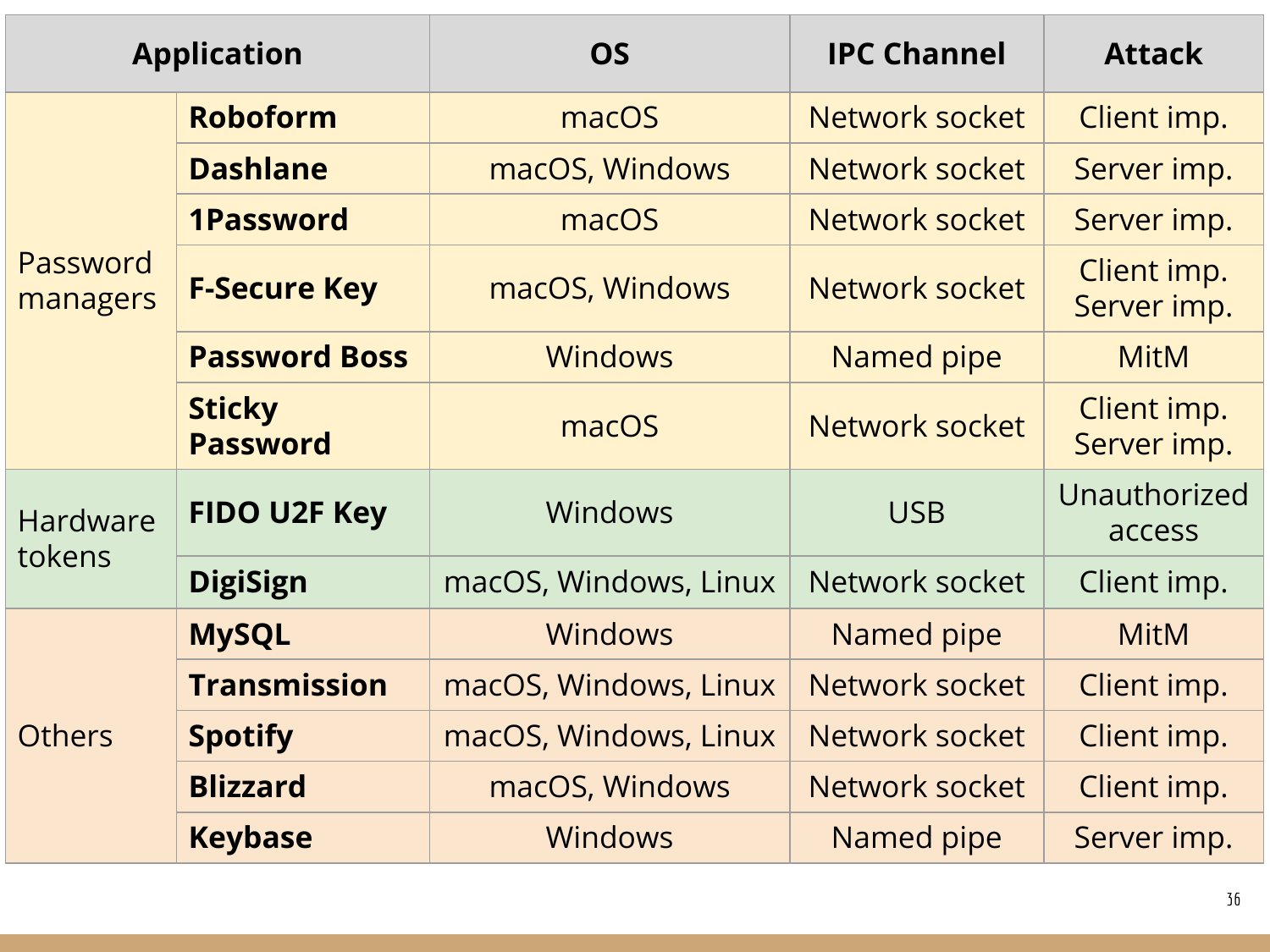| <b>Application</b>        |                                  | <b>OS</b>             | <b>IPC Channel</b>    | <b>Attack</b>              |
|---------------------------|----------------------------------|-----------------------|-----------------------|----------------------------|
| Password<br>managers      | <b>Roboform</b>                  | macOS                 | Network socket        | Client imp.                |
|                           | <b>Dashlane</b>                  | macOS, Windows        | Network socket        | Server imp.                |
|                           | <b>1Password</b>                 | macOS                 | Network socket        | Server imp.                |
|                           | <b>F-Secure Key</b>              | macOS, Windows        | Network socket        | Client imp.<br>Server imp. |
|                           | <b>Password Boss</b>             | Windows               | Named pipe            | <b>MitM</b>                |
|                           | <b>Sticky</b><br><b>Password</b> | macOS                 | <b>Network socket</b> | Client imp.<br>Server imp. |
| <b>Hardware</b><br>tokens | <b>FIDO U2F Key</b>              | Windows               | <b>USB</b>            | Unauthorized<br>access     |
|                           | <b>DigiSign</b>                  | macOS, Windows, Linux | Network socket        | Client imp.                |
| <b>Others</b>             | <b>MySQL</b>                     | <b>Windows</b>        | Named pipe            | <b>MitM</b>                |
|                           | <b>Transmission</b>              | macOS, Windows, Linux | Network socket        | Client imp.                |
|                           | <b>Spotify</b>                   | macOS, Windows, Linux | Network socket        | Client imp.                |
|                           | <b>Blizzard</b>                  | macOS, Windows        | Network socket        | Client imp.                |
|                           | <b>Keybase</b>                   | <b>Windows</b>        | Named pipe            | Server imp.                |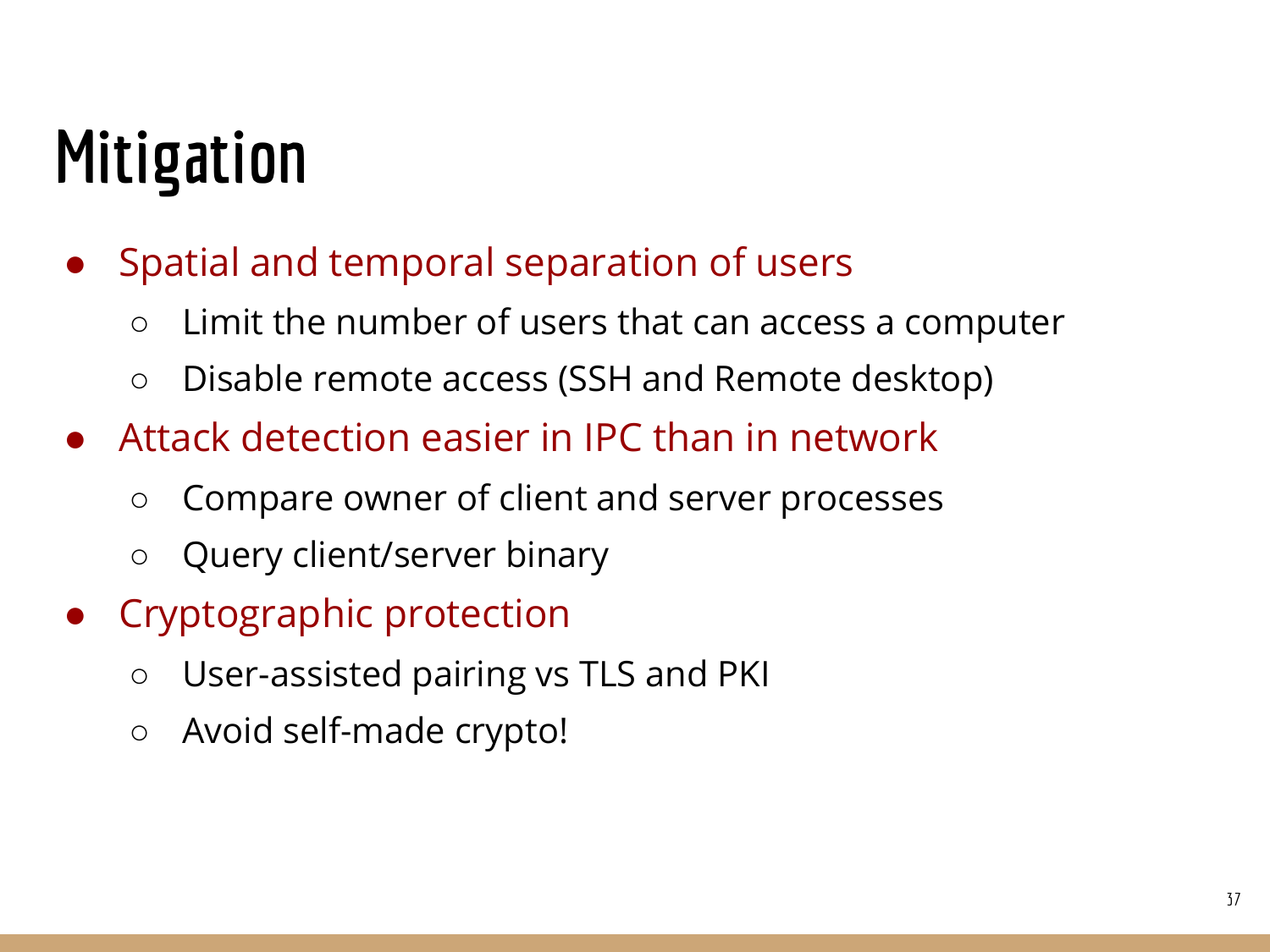### Mitigation

- Spatial and temporal separation of users
	- Limit the number of users that can access a computer
	- Disable remote access (SSH and Remote desktop)
- Attack detection easier in IPC than in network
	- Compare owner of client and server processes
	- Query client/server binary
- Cryptographic protection
	- User-assisted pairing vs TLS and PKI
	- Avoid self-made crypto!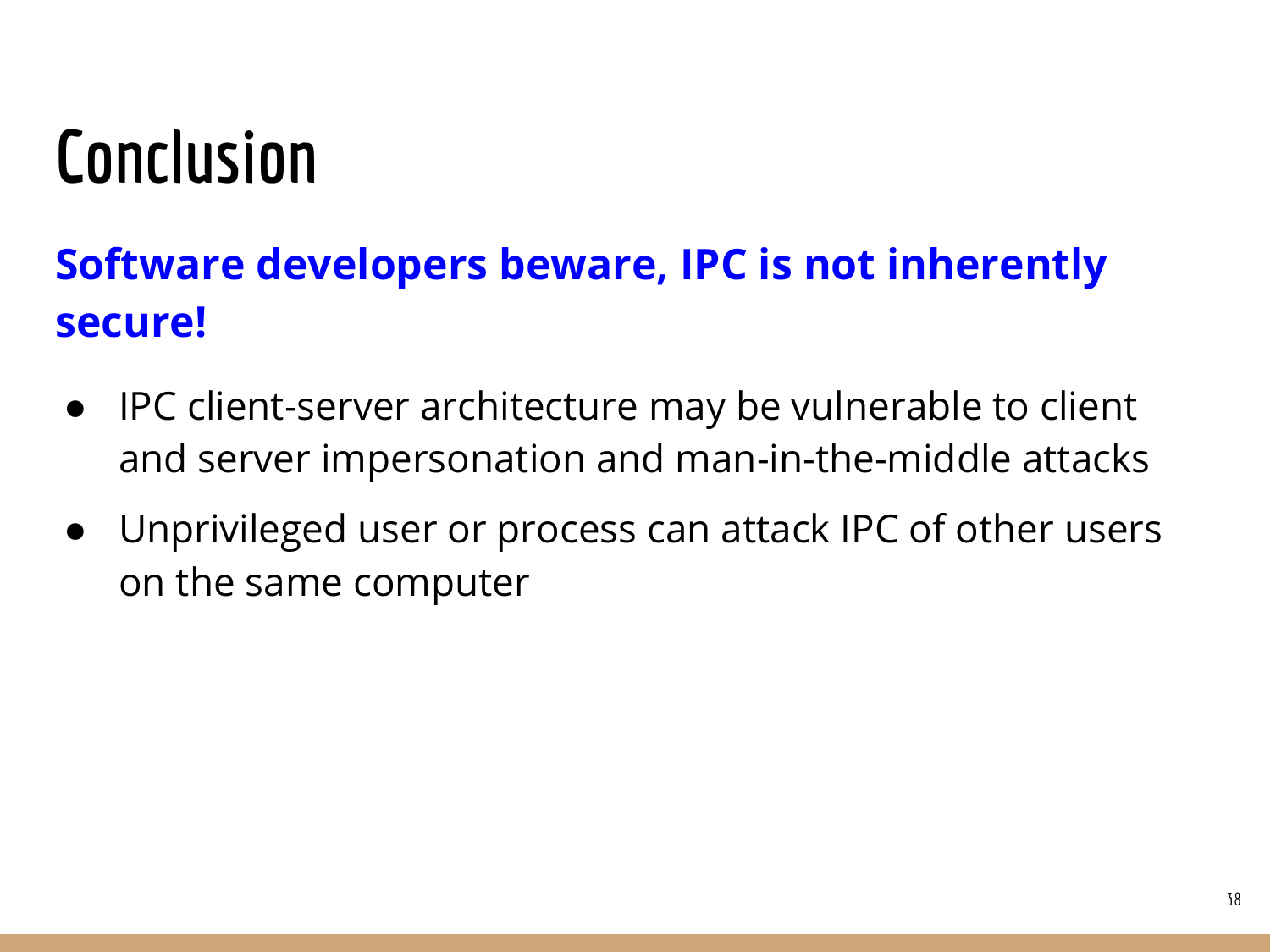#### Conclusion

#### Software developers beware, IPC is not inherently secure!

- IPC client-server architecture may be vulnerable to client and server impersonation and man-in-the-middle attacks
- Unprivileged user or process can attack IPC of other users on the same computer